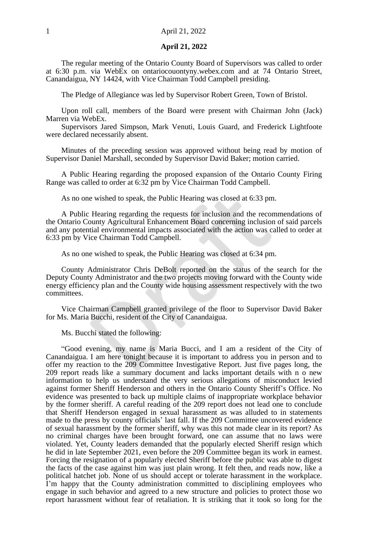#### **April 21, 2022**

The regular meeting of the Ontario County Board of Supervisors was called to order at 6:30 p.m. via WebEx on ontariocouontyny.webex.com and at 74 Ontario Street, Canandaigua, NY 14424, with Vice Chairman Todd Campbell presiding.

The Pledge of Allegiance was led by Supervisor Robert Green, Town of Bristol.

Upon roll call, members of the Board were present with Chairman John (Jack) Marren via WebEx.

Supervisors Jared Simpson, Mark Venuti, Louis Guard, and Frederick Lightfoote were declared necessarily absent.

Minutes of the preceding session was approved without being read by motion of Supervisor Daniel Marshall, seconded by Supervisor David Baker; motion carried.

A Public Hearing regarding the proposed expansion of the Ontario County Firing Range was called to order at 6:32 pm by Vice Chairman Todd Campbell.

As no one wished to speak, the Public Hearing was closed at 6:33 pm.

A Public Hearing regarding the requests for inclusion and the recommendations of the Ontario County Agricultural Enhancement Board concerning inclusion of said parcels and any potential environmental impacts associated with the action was called to order at 6:33 pm by Vice Chairman Todd Campbell.

As no one wished to speak, the Public Hearing was closed at 6:34 pm.

County Administrator Chris DeBolt reported on the status of the search for the Deputy County Administrator and the two projects moving forward with the County wide energy efficiency plan and the County wide housing assessment respectively with the two committees.

Vice Chairman Campbell granted privilege of the floor to Supervisor David Baker for Ms. Maria Bucchi, resident of the City of Canandaigua.

Ms. Bucchi stated the following:

"Good evening, my name is Maria Bucci, and I am a resident of the City of Canandaigua. I am here tonight because it is important to address you in person and to offer my reaction to the 209 Committee Investigative Report. Just five pages long, the 209 report reads like a summary document and lacks important details with n o new information to help us understand the very serious allegations of misconduct levied against former Sheriff Henderson and others in the Ontario County Sheriff's Office. No evidence was presented to back up multiple claims of inappropriate workplace behavior by the former sheriff. A careful reading of the 209 report does not lead one to conclude that Sheriff Henderson engaged in sexual harassment as was alluded to in statements made to the press by county officials' last fall. If the 209 Committee uncovered evidence of sexual harassment by the former sheriff, why was this not made clear in its report? As no criminal charges have been brought forward, one can assume that no laws were violated. Yet, County leaders demanded that the popularly elected Sheriff resign which he did in late September 2021, even before the 209 Committee began its work in earnest. Forcing the resignation of a popularly elected Sheriff before the public was able to digest the facts of the case against him was just plain wrong. It felt then, and reads now, like a political hatchet job. None of us should accept or tolerate harassment in the workplace. I'm happy that the County administration committed to disciplining employees who engage in such behavior and agreed to a new structure and policies to protect those wo report harassment without fear of retaliation. It is striking that it took so long for the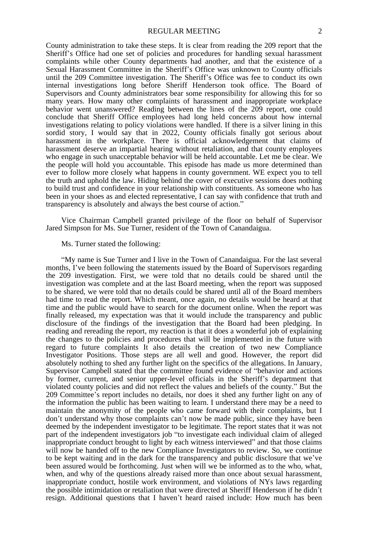County administration to take these steps. It is clear from reading the 209 report that the Sheriff's Office had one set of policies and procedures for handling sexual harassment complaints while other County departments had another, and that the existence of a Sexual Harassment Committee in the Sheriff's Office was unknown to County officials until the 209 Committee investigation. The Sheriff's Office was fee to conduct its own internal investigations long before Sheriff Henderson took office. The Board of Supervisors and County administrators bear some responsibility for allowing this for so many years. How many other complaints of harassment and inappropriate workplace behavior went unanswered? Reading between the lines of the 209 report, one could conclude that Sheriff Office employees had long held concerns about how internal investigations relating to policy violations were handled. If there is a silver lining in this sordid story, I would say that in 2022, County officials finally got serious about harassment in the workplace. There is official acknowledgement that claims of harassment deserve an impartial hearing without retaliation, and that county employees who engage in such unacceptable behavior will be held accountable. Let me be clear. We the people will hold you accountable. This episode has made us more determined than ever to follow more closely what happens in county government. WE expect you to tell the truth and uphold the law. Hiding behind the cover of executive sessions does nothing to build trust and confidence in your relationship with constituents. As someone who has been in your shoes as and elected representative, I can say with confidence that truth and transparency is absolutely and always the best course of action."

Vice Chairman Campbell granted privilege of the floor on behalf of Supervisor Jared Simpson for Ms. Sue Turner, resident of the Town of Canandaigua.

#### Ms. Turner stated the following:

"My name is Sue Turner and I live in the Town of Canandaigua. For the last several months, I've been following the statements issued by the Board of Supervisors regarding the 209 investigation. First, we were told that no details could be shared until the investigation was complete and at the last Board meeting, when the report was supposed to be shared, we were told that no details could be shared until all of the Board members had time to read the report. Which meant, once again, no details would be heard at that time and the public would have to search for the document online. When the report was finally released, my expectation was that it would include the transparency and public disclosure of the findings of the investigation that the Board had been pledging. In reading and rereading the report, my reaction is that it does a wonderful job of explaining the changes to the policies and procedures that will be implemented in the future with regard to future complaints It also details the creation of two new Compliance Investigator Positions. Those steps are all well and good. However, the report did absolutely nothing to shed any further light on the specifics of the allegations. In January, Supervisor Campbell stated that the committee found evidence of "behavior and actions by former, current, and senior upper-level officials in the Sheriff's department that violated county policies and did not reflect the values and beliefs of the county." But the 209 Committee's report includes no details, nor does it shed any further light on any of the information the public has been waiting to learn. I understand there may be a need to maintain the anonymity of the people who came forward with their complaints, but I don't understand why those complaints can't now be made public, since they have been deemed by the independent investigator to be legitimate. The report states that it was not part of the independent investigators job "to investigate each individual claim of alleged inappropriate conduct brought to light by each witness interviewed" and that those claims will now be handed off to the new Compliance Investigators to review. So, we continue to be kept waiting and in the dark for the transparency and public disclosure that we've been assured would be forthcoming. Just when will we be informed as to the who, what, when, and why of the questions already raised more than once about sexual harassment, inappropriate conduct, hostile work environment, and violations of NYs laws regarding the possible intimidation or retaliation that were directed at Sheriff Henderson if he didn't resign. Additional questions that I haven't heard raised include: How much has been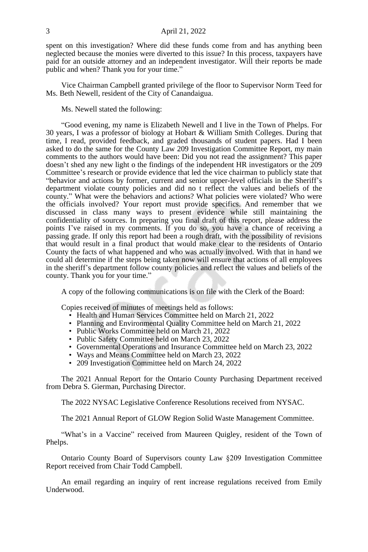#### 3 April 21, 2022

spent on this investigation? Where did these funds come from and has anything been neglected because the monies were diverted to this issue? In this process, taxpayers have paid for an outside attorney and an independent investigator. Will their reports be made public and when? Thank you for your time."

Vice Chairman Campbell granted privilege of the floor to Supervisor Norm Teed for Ms. Beth Newell, resident of the City of Canandaigua.

Ms. Newell stated the following:

"Good evening, my name is Elizabeth Newell and I live in the Town of Phelps. For 30 years, I was a professor of biology at Hobart & William Smith Colleges. During that time, I read, provided feedback, and graded thousands of student papers. Had I been asked to do the same for the County Law 209 Investigation Committee Report, my main comments to the authors would have been: Did you not read the assignment? This paper doesn't shed any new light o the findings of the independent HR investigators or the 209 Committee's research or provide evidence that led the vice chairman to publicly state that "behavior and actions by former, current and senior upper-level officials in the Sheriff's department violate county policies and did no t reflect the values and beliefs of the county." What were the behaviors and actions? What policies were violated? Who were the officials involved? Your report must provide specifics. And remember that we discussed in class many ways to present evidence while still maintaining the confidentiality of sources. In preparing you final draft of this report, please address the points I've raised in my comments. If you do so, you have a chance of receiving a passing grade. If only this report had been a rough draft, with the possibility of revisions that would result in a final product that would make clear to the residents of Ontario County the facts of what happened and who was actually involved. With that in hand we could all determine if the steps being taken now will ensure that actions of all employees in the sheriff's department follow county policies and reflect the values and beliefs of the county. Thank you for your time."

A copy of the following communications is on file with the Clerk of the Board:

Copies received of minutes of meetings held as follows:

- Health and Human Services Committee held on March 21, 2022
- Planning and Environmental Quality Committee held on March 21, 2022
- Public Works Committee held on March 21, 2022
- Public Safety Committee held on March 23, 2022
- Governmental Operations and Insurance Committee held on March 23, 2022
- Ways and Means Committee held on March 23, 2022
- 209 Investigation Committee held on March 24, 2022

The 2021 Annual Report for the Ontario County Purchasing Department received from Debra S. Gierman, Purchasing Director.

The 2022 NYSAC Legislative Conference Resolutions received from NYSAC.

The 2021 Annual Report of GLOW Region Solid Waste Management Committee.

"What's in a Vaccine" received from Maureen Quigley, resident of the Town of Phelps.

Ontario County Board of Supervisors county Law §209 Investigation Committee Report received from Chair Todd Campbell.

An email regarding an inquiry of rent increase regulations received from Emily Underwood.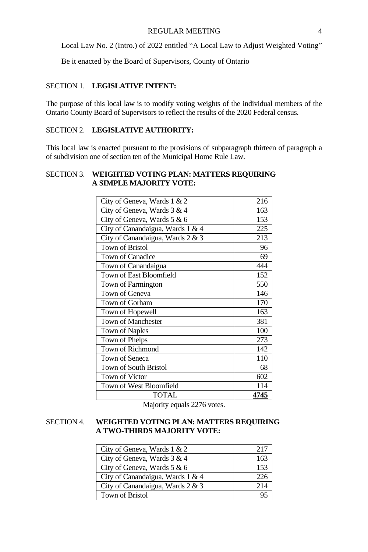Local Law No. 2 (Intro.) of 2022 entitled "A Local Law to Adjust Weighted Voting"

Be it enacted by the Board of Supervisors, County of Ontario

# SECTION 1. **LEGISLATIVE INTENT:**

The purpose of this local law is to modify voting weights of the individual members of the Ontario County Board of Supervisors to reflect the results of the 2020 Federal census.

# SECTION 2. **LEGISLATIVE AUTHORITY:**

This local law is enacted pursuant to the provisions of subparagraph thirteen of paragraph a of subdivision one of section ten of the Municipal Home Rule Law.

# SECTION 3. **WEIGHTED VOTING PLAN: MATTERS REQUIRING A SIMPLE MAJORITY VOTE:**

| City of Geneva, Wards 1 & 2      | 216  |
|----------------------------------|------|
| City of Geneva, Wards 3 & 4      | 163  |
| City of Geneva, Wards 5 & 6      | 153  |
| City of Canandaigua, Wards 1 & 4 | 225  |
| City of Canandaigua, Wards 2 & 3 | 213  |
| <b>Town of Bristol</b>           | 96   |
| Town of Canadice                 | 69   |
| Town of Canandaigua              | 444  |
| Town of East Bloomfield          | 152  |
| Town of Farmington               | 550  |
| Town of Geneva                   | 146  |
| Town of Gorham                   | 170  |
| Town of Hopewell                 | 163  |
| Town of Manchester               | 381  |
| Town of Naples                   | 100  |
| Town of Phelps                   | 273  |
| Town of Richmond                 | 142  |
| Town of Seneca                   | 110  |
| Town of South Bristol            | 68   |
| Town of Victor                   | 602  |
| Town of West Bloomfield          | 114  |
| <b>TOTAL</b>                     | 4745 |

Majority equals 2276 votes.

#### SECTION 4. **WEIGHTED VOTING PLAN: MATTERS REQUIRING A TWO-THIRDS MAJORITY VOTE:**

| City of Geneva, Wards 1 & 2      | 217 |
|----------------------------------|-----|
| City of Geneva, Wards 3 & 4      | 163 |
| City of Geneva, Wards 5 & 6      | 153 |
| City of Canandaigua, Wards 1 & 4 | 226 |
| City of Canandaigua, Wards 2 & 3 | 214 |
| <b>Town of Bristol</b>           |     |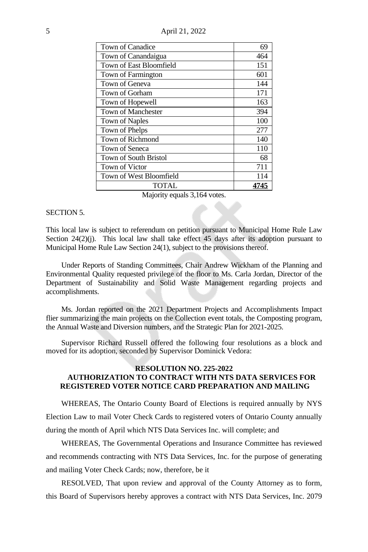5 April 21, 2022

| Town of Canadice             | 69   |
|------------------------------|------|
| Town of Canandaigua          | 464  |
| Town of East Bloomfield      | 151  |
| Town of Farmington           | 601  |
| Town of Geneva               | 144  |
| Town of Gorham               | 171  |
| Town of Hopewell             | 163  |
| <b>Town of Manchester</b>    | 394  |
| <b>Town of Naples</b>        | 100  |
| Town of Phelps               | 277  |
| Town of Richmond             | 140  |
| Town of Seneca               | 110  |
| <b>Town of South Bristol</b> | 68   |
| Town of Victor               | 711  |
| Town of West Bloomfield      | 114  |
| <b>TOTAL</b>                 | 4745 |

Majority equals 3,164 votes.

#### SECTION 5

This local law is subject to referendum on petition pursuant to Municipal Home Rule Law Section  $24(2)(i)$ . This local law shall take effect 45 days after its adoption pursuant to Municipal Home Rule Law Section 24(1), subject to the provisions thereof.

Under Reports of Standing Committees, Chair Andrew Wickham of the Planning and Environmental Quality requested privilege of the floor to Ms. Carla Jordan, Director of the Department of Sustainability and Solid Waste Management regarding projects and accomplishments.

Ms. Jordan reported on the 2021 Department Projects and Accomplishments Impact flier summarizing the main projects on the Collection event totals, the Composting program, the Annual Waste and Diversion numbers, and the Strategic Plan for 2021-2025.

Supervisor Richard Russell offered the following four resolutions as a block and moved for its adoption, seconded by Supervisor Dominick Vedora:

## **RESOLUTION NO. 225-2022 AUTHORIZATION TO CONTRACT WITH NTS DATA SERVICES FOR REGISTERED VOTER NOTICE CARD PREPARATION AND MAILING**

WHEREAS, The Ontario County Board of Elections is required annually by NYS Election Law to mail Voter Check Cards to registered voters of Ontario County annually during the month of April which NTS Data Services Inc. will complete; and

WHEREAS, The Governmental Operations and Insurance Committee has reviewed and recommends contracting with NTS Data Services, Inc. for the purpose of generating and mailing Voter Check Cards; now, therefore, be it

RESOLVED, That upon review and approval of the County Attorney as to form, this Board of Supervisors hereby approves a contract with NTS Data Services, Inc. 2079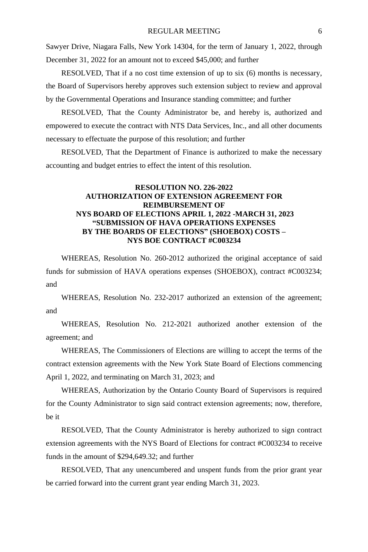Sawyer Drive, Niagara Falls, New York 14304, for the term of January 1, 2022, through December 31, 2022 for an amount not to exceed \$45,000; and further

RESOLVED, That if a no cost time extension of up to six (6) months is necessary, the Board of Supervisors hereby approves such extension subject to review and approval by the Governmental Operations and Insurance standing committee; and further

RESOLVED, That the County Administrator be, and hereby is, authorized and empowered to execute the contract with NTS Data Services, Inc., and all other documents necessary to effectuate the purpose of this resolution; and further

RESOLVED, That the Department of Finance is authorized to make the necessary accounting and budget entries to effect the intent of this resolution.

# **RESOLUTION NO. 226-2022 AUTHORIZATION OF EXTENSION AGREEMENT FOR REIMBURSEMENT OF NYS BOARD OF ELECTIONS APRIL 1, 2022 -MARCH 31, 2023 "SUBMISSION OF HAVA OPERATIONS EXPENSES BY THE BOARDS OF ELECTIONS" (SHOEBOX) COSTS – NYS BOE CONTRACT #C003234**

WHEREAS, Resolution No. 260-2012 authorized the original acceptance of said funds for submission of HAVA operations expenses (SHOEBOX), contract #C003234; and

WHEREAS, Resolution No. 232-2017 authorized an extension of the agreement; and

WHEREAS, Resolution No. 212-2021 authorized another extension of the agreement; and

WHEREAS, The Commissioners of Elections are willing to accept the terms of the contract extension agreements with the New York State Board of Elections commencing April 1, 2022, and terminating on March 31, 2023; and

WHEREAS, Authorization by the Ontario County Board of Supervisors is required for the County Administrator to sign said contract extension agreements; now, therefore, be it

RESOLVED, That the County Administrator is hereby authorized to sign contract extension agreements with the NYS Board of Elections for contract #C003234 to receive funds in the amount of \$294,649.32; and further

RESOLVED, That any unencumbered and unspent funds from the prior grant year be carried forward into the current grant year ending March 31, 2023.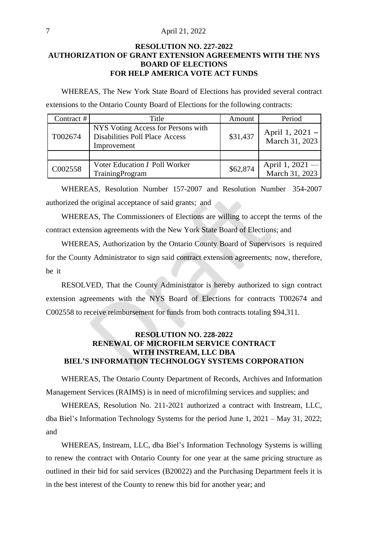#### 7 April 21, 2022

# **RESOLUTION NO. 227-2022 AUTHORIZATION OF GRANT EXTENSION AGREEMENTS WITH THE NYS BOARD OF ELECTIONS FOR HELP AMERICA VOTE ACT FUNDS**

WHEREAS, The New York State Board of Elections has provided several contract extensions to the Ontario County Board of Elections for the following contracts:

| Contract $#$ | Title                                                                                      | Amount   | Period                            |
|--------------|--------------------------------------------------------------------------------------------|----------|-----------------------------------|
| T002674      | NYS Voting Access for Persons with<br><b>Disabilities Poll Place Access</b><br>Improvement | \$31,437 | April 1, 2021 –<br>March 31, 2023 |
|              |                                                                                            |          |                                   |
| C002558      | Voter Education <i>I</i> Poll Worker<br><b>TrainingProgram</b>                             | \$62,874 | April 1, 2021 -<br>March 31, 2023 |

WHEREAS, Resolution Number 157-2007 and Resolution Number 354-2007 authorized the original acceptance of said grants; and

WHEREAS, The Commissioners of Elections are willing to accept the terms of the contract extension agreements with the New York State Board of Elections; and

WHEREAS, Authorization by the Ontario County Board of Supervisors is required for the County Administrator to sign said contract extension agreements; now, therefore, be it

RESOLVED, That the County Administrator is hereby authorized to sign contract extension agreements with the NYS Board of Elections for contracts T002674 and C002558 to receive reimbursement for funds from both contracts totaling \$94,311.

## **RESOLUTION NO. 228-2022 RENEWAL OF MICROFILM SERVICE CONTRACT WITH INSTREAM, LLC DBA BIEL'S INFORMATION TECHNOLOGY SYSTEMS CORPORATION**

WHEREAS, The Ontario County Department of Records, Archives and Information Management Services (RAIMS) is in need of microfilming services and supplies; and

WHEREAS, Resolution No. 211-2021 authorized a contract with Instream, LLC, dba Biel's Information Technology Systems for the period June 1, 2021 – May 31, 2022; and

WHEREAS, Instream, LLC, dba Biel's Information Technology Systems is willing to renew the contract with Ontario County for one year at the same pricing structure as outlined in their bid for said services (B20022) and the Purchasing Department feels it is in the best interest of the County to renew this bid for another year; and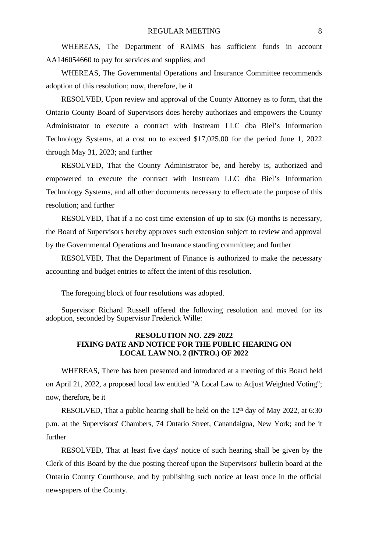WHEREAS, The Department of RAIMS has sufficient funds in account AA146054660 to pay for services and supplies; and

WHEREAS, The Governmental Operations and Insurance Committee recommends adoption of this resolution; now, therefore, be it

RESOLVED, Upon review and approval of the County Attorney as to form, that the Ontario County Board of Supervisors does hereby authorizes and empowers the County Administrator to execute a contract with Instream LLC dba Biel's Information Technology Systems, at a cost no to exceed \$17,025.00 for the period June 1, 2022 through May 31, 2023; and further

RESOLVED, That the County Administrator be, and hereby is, authorized and empowered to execute the contract with Instream LLC dba Biel's Information Technology Systems, and all other documents necessary to effectuate the purpose of this resolution; and further

RESOLVED, That if a no cost time extension of up to six (6) months is necessary, the Board of Supervisors hereby approves such extension subject to review and approval by the Governmental Operations and Insurance standing committee; and further

RESOLVED, That the Department of Finance is authorized to make the necessary accounting and budget entries to affect the intent of this resolution.

The foregoing block of four resolutions was adopted.

Supervisor Richard Russell offered the following resolution and moved for its adoption, seconded by Supervisor Frederick Wille:

# **RESOLUTION NO. 229-2022 FIXING DATE AND NOTICE FOR THE PUBLIC HEARING ON LOCAL LAW NO. 2 (INTRO.) OF 2022**

WHEREAS, There has been presented and introduced at a meeting of this Board held on April 21, 2022, a proposed local law entitled "A Local Law to Adjust Weighted Voting"; now, therefore, be it

RESOLVED, That a public hearing shall be held on the 12<sup>th</sup> day of May 2022, at 6:30 p.m. at the Supervisors' Chambers, 74 Ontario Street, Canandaigua, New York; and be it further

RESOLVED, That at least five days' notice of such hearing shall be given by the Clerk of this Board by the due posting thereof upon the Supervisors' bulletin board at the Ontario County Courthouse, and by publishing such notice at least once in the official newspapers of the County.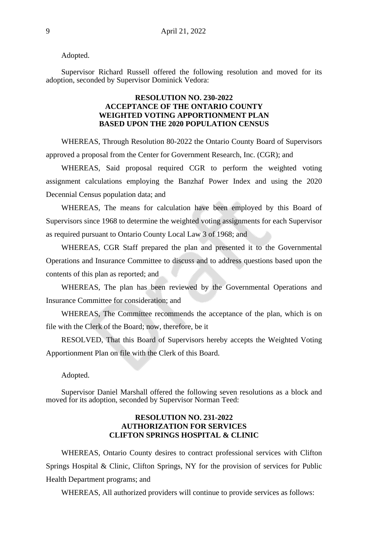Adopted.

Supervisor Richard Russell offered the following resolution and moved for its adoption, seconded by Supervisor Dominick Vedora:

#### **RESOLUTION NO. 230-2022 ACCEPTANCE OF THE ONTARIO COUNTY WEIGHTED VOTING APPORTIONMENT PLAN BASED UPON THE 2020 POPULATION CENSUS**

WHEREAS, Through Resolution 80-2022 the Ontario County Board of Supervisors approved a proposal from the Center for Government Research, Inc. (CGR); and

WHEREAS, Said proposal required CGR to perform the weighted voting assignment calculations employing the Banzhaf Power Index and using the 2020 Decennial Census population data; and

WHEREAS, The means for calculation have been employed by this Board of Supervisors since 1968 to determine the weighted voting assignments for each Supervisor as required pursuant to Ontario County Local Law 3 of 1968; and

WHEREAS, CGR Staff prepared the plan and presented it to the Governmental Operations and Insurance Committee to discuss and to address questions based upon the contents of this plan as reported; and

WHEREAS, The plan has been reviewed by the Governmental Operations and Insurance Committee for consideration; and

WHEREAS, The Committee recommends the acceptance of the plan, which is on file with the Clerk of the Board; now, therefore, be it

RESOLVED, That this Board of Supervisors hereby accepts the Weighted Voting Apportionment Plan on file with the Clerk of this Board.

Adopted.

Supervisor Daniel Marshall offered the following seven resolutions as a block and moved for its adoption, seconded by Supervisor Norman Teed:

#### **RESOLUTION NO. 231-2022 AUTHORIZATION FOR SERVICES CLIFTON SPRINGS HOSPITAL & CLINIC**

WHEREAS, Ontario County desires to contract professional services with Clifton Springs Hospital & Clinic, Clifton Springs, NY for the provision of services for Public Health Department programs; and

WHEREAS, All authorized providers will continue to provide services as follows: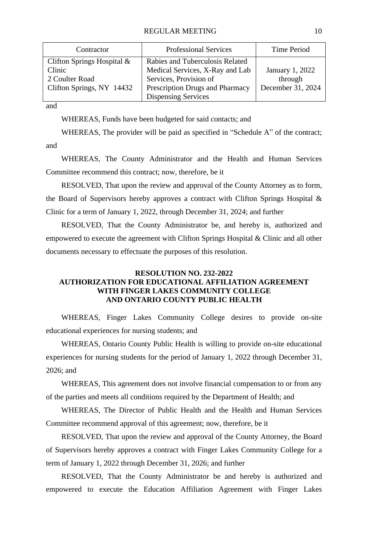| Contractor                   | <b>Professional Services</b>    | Time Period       |
|------------------------------|---------------------------------|-------------------|
| Clifton Springs Hospital $&$ | Rabies and Tuberculosis Related |                   |
| Clinic                       | Medical Services, X-Ray and Lab | January 1, 2022   |
| 2 Coulter Road               | Services, Provision of          | through           |
| Clifton Springs, NY 14432    | Prescription Drugs and Pharmacy | December 31, 2024 |
|                              | Dispensing Services             |                   |

and

WHEREAS, Funds have been budgeted for said contacts; and

WHEREAS, The provider will be paid as specified in "Schedule A" of the contract; and

WHEREAS, The County Administrator and the Health and Human Services Committee recommend this contract; now, therefore, be it

RESOLVED, That upon the review and approval of the County Attorney as to form, the Board of Supervisors hereby approves a contract with Clifton Springs Hospital & Clinic for a term of January 1, 2022, through December 31, 2024; and further

RESOLVED, That the County Administrator be, and hereby is, authorized and empowered to execute the agreement with Clifton Springs Hospital & Clinic and all other documents necessary to effectuate the purposes of this resolution.

# **RESOLUTION NO. 232-2022 AUTHORIZATION FOR EDUCATIONAL AFFILIATION AGREEMENT WITH FINGER LAKES COMMUNITY COLLEGE AND ONTARIO COUNTY PUBLIC HEALTH**

WHEREAS, Finger Lakes Community College desires to provide on-site educational experiences for nursing students; and

WHEREAS, Ontario County Public Health is willing to provide on-site educational experiences for nursing students for the period of January 1, 2022 through December 31, 2026; and

WHEREAS, This agreement does not involve financial compensation to or from any of the parties and meets all conditions required by the Department of Health; and

WHEREAS, The Director of Public Health and the Health and Human Services Committee recommend approval of this agreement; now, therefore, be it

RESOLVED, That upon the review and approval of the County Attorney, the Board of Supervisors hereby approves a contract with Finger Lakes Community College for a term of January 1, 2022 through December 31, 2026; and further

RESOLVED, That the County Administrator be and hereby is authorized and empowered to execute the Education Affiliation Agreement with Finger Lakes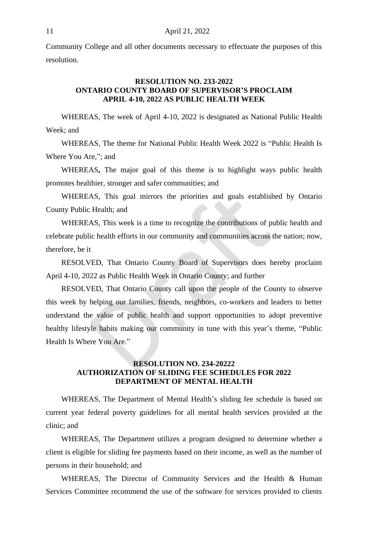Community College and all other documents necessary to effectuate the purposes of this resolution.

#### **RESOLUTION NO. 233-2022 ONTARIO COUNTY BOARD OF SUPERVISOR'S PROCLAIM APRIL 4-10, 2022 AS PUBLIC HEALTH WEEK**

WHEREAS, The week of April 4-10, 2022 is designated as National Public Health Week; and

WHEREAS, The theme for National Public Health Week 2022 is "Public Health Is Where You Are,"; and

WHEREAS**,** The major goal of this theme is to highlight ways public health promotes healthier, stronger and safer communities; and

WHEREAS, This goal mirrors the priorities and goals established by Ontario County Public Health; and

WHEREAS, This week is a time to recognize the contributions of public health and celebrate public health efforts in our community and communities across the nation; now, therefore, be it

RESOLVED, That Ontario County Board of Supervisors does hereby proclaim April 4-10, 2022 as Public Health Week in Ontario County; and further

RESOLVED, That Ontario County call upon the people of the County to observe this week by helping our families, friends, neighbors, co-workers and leaders to better understand the value of public health and support opportunities to adopt preventive healthy lifestyle habits making our community in tune with this year's theme, "Public Health Is Where You Are."

# **RESOLUTION NO. 234-20222 AUTHORIZATION OF SLIDING FEE SCHEDULES FOR 2022 DEPARTMENT OF MENTAL HEALTH**

WHEREAS, The Department of Mental Health's sliding fee schedule is based on current year federal poverty guidelines for all mental health services provided at the clinic; and

WHEREAS, The Department utilizes a program designed to determine whether a client is eligible for sliding fee payments based on their income, as well as the number of persons in their household; and

WHEREAS, The Director of Community Services and the Health & Human Services Committee recommend the use of the software for services provided to clients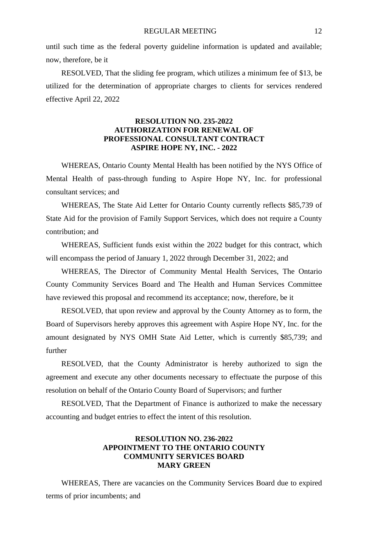until such time as the federal poverty guideline information is updated and available; now, therefore, be it

RESOLVED, That the sliding fee program, which utilizes a minimum fee of \$13, be utilized for the determination of appropriate charges to clients for services rendered effective April 22, 2022

# **RESOLUTION NO. 235-2022 AUTHORIZATION FOR RENEWAL OF PROFESSIONAL CONSULTANT CONTRACT ASPIRE HOPE NY, INC. - 2022**

WHEREAS, Ontario County Mental Health has been notified by the NYS Office of Mental Health of pass-through funding to Aspire Hope NY, Inc. for professional consultant services; and

WHEREAS, The State Aid Letter for Ontario County currently reflects \$85,739 of State Aid for the provision of Family Support Services, which does not require a County contribution; and

WHEREAS, Sufficient funds exist within the 2022 budget for this contract, which will encompass the period of January 1, 2022 through December 31, 2022; and

WHEREAS, The Director of Community Mental Health Services, The Ontario County Community Services Board and The Health and Human Services Committee have reviewed this proposal and recommend its acceptance; now, therefore, be it

RESOLVED, that upon review and approval by the County Attorney as to form, the Board of Supervisors hereby approves this agreement with Aspire Hope NY, Inc. for the amount designated by NYS OMH State Aid Letter, which is currently \$85,739; and further

RESOLVED, that the County Administrator is hereby authorized to sign the agreement and execute any other documents necessary to effectuate the purpose of this resolution on behalf of the Ontario County Board of Supervisors; and further

RESOLVED, That the Department of Finance is authorized to make the necessary accounting and budget entries to effect the intent of this resolution.

# **RESOLUTION NO. 236-2022 APPOINTMENT TO THE ONTARIO COUNTY COMMUNITY SERVICES BOARD MARY GREEN**

WHEREAS, There are vacancies on the Community Services Board due to expired terms of prior incumbents; and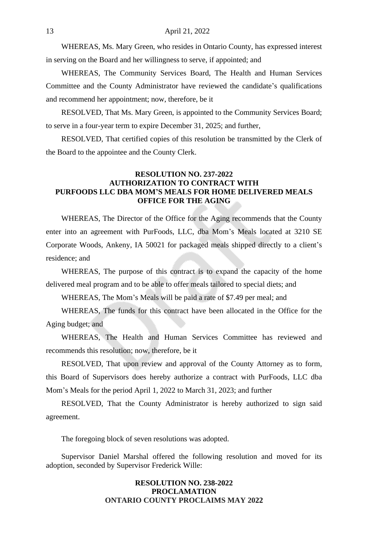WHEREAS, Ms. Mary Green, who resides in Ontario County, has expressed interest in serving on the Board and her willingness to serve, if appointed; and

WHEREAS, The Community Services Board, The Health and Human Services Committee and the County Administrator have reviewed the candidate's qualifications and recommend her appointment; now, therefore, be it

RESOLVED, That Ms. Mary Green, is appointed to the Community Services Board; to serve in a four-year term to expire December 31, 2025; and further,

RESOLVED, That certified copies of this resolution be transmitted by the Clerk of the Board to the appointee and the County Clerk.

# **RESOLUTION NO. 237-2022 AUTHORIZATION TO CONTRACT WITH PURFOODS LLC DBA MOM'S MEALS FOR HOME DELIVERED MEALS OFFICE FOR THE AGING**

WHEREAS, The Director of the Office for the Aging recommends that the County enter into an agreement with PurFoods, LLC, dba Mom's Meals located at 3210 SE Corporate Woods, Ankeny, IA 50021 for packaged meals shipped directly to a client's residence; and

WHEREAS, The purpose of this contract is to expand the capacity of the home delivered meal program and to be able to offer meals tailored to special diets; and

WHEREAS, The Mom's Meals will be paid a rate of \$7.49 per meal; and

WHEREAS, The funds for this contract have been allocated in the Office for the Aging budget; and

WHEREAS, The Health and Human Services Committee has reviewed and recommends this resolution; now, therefore, be it

RESOLVED, That upon review and approval of the County Attorney as to form, this Board of Supervisors does hereby authorize a contract with PurFoods, LLC dba Mom's Meals for the period April 1, 2022 to March 31, 2023; and further

RESOLVED, That the County Administrator is hereby authorized to sign said agreement.

The foregoing block of seven resolutions was adopted.

Supervisor Daniel Marshal offered the following resolution and moved for its adoption, seconded by Supervisor Frederick Wille:

### **RESOLUTION NO. 238-2022 PROCLAMATION ONTARIO COUNTY PROCLAIMS MAY 2022**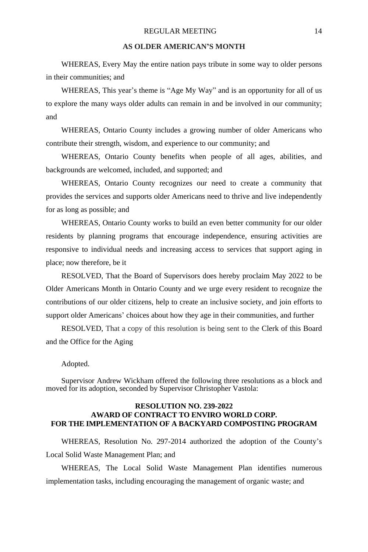## **AS OLDER AMERICAN'S MONTH**

WHEREAS, Every May the entire nation pays tribute in some way to older persons in their communities; and

WHEREAS, This year's theme is "Age My Way" and is an opportunity for all of us to explore the many ways older adults can remain in and be involved in our community; and

WHEREAS, Ontario County includes a growing number of older Americans who contribute their strength, wisdom, and experience to our community; and

WHEREAS, Ontario County benefits when people of all ages, abilities, and backgrounds are welcomed, included, and supported; and

WHEREAS, Ontario County recognizes our need to create a community that provides the services and supports older Americans need to thrive and live independently for as long as possible; and

WHEREAS, Ontario County works to build an even better community for our older residents by planning programs that encourage independence, ensuring activities are responsive to individual needs and increasing access to services that support aging in place; now therefore, be it

RESOLVED, That the Board of Supervisors does hereby proclaim May 2022 to be Older Americans Month in Ontario County and we urge every resident to recognize the contributions of our older citizens, help to create an inclusive society, and join efforts to support older Americans' choices about how they age in their communities, and further

RESOLVED, That a copy of this resolution is being sent to the Clerk of this Board and the Office for the Aging

#### Adopted.

Supervisor Andrew Wickham offered the following three resolutions as a block and moved for its adoption, seconded by Supervisor Christopher Vastola:

#### **RESOLUTION NO. 239-2022 AWARD OF CONTRACT TO ENVIRO WORLD CORP. FOR THE IMPLEMENTATION OF A BACKYARD COMPOSTING PROGRAM**

WHEREAS, Resolution No. 297-2014 authorized the adoption of the County's Local Solid Waste Management Plan; and

WHEREAS, The Local Solid Waste Management Plan identifies numerous implementation tasks, including encouraging the management of organic waste; and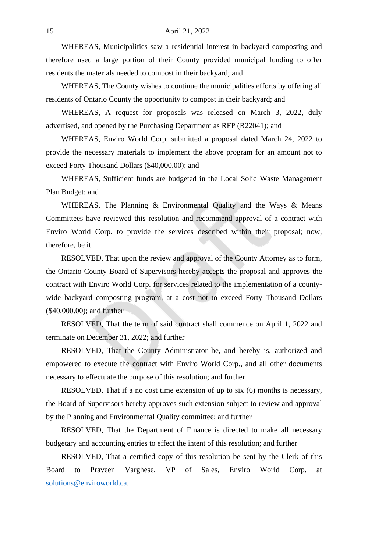#### 15 April 21, 2022

WHEREAS, Municipalities saw a residential interest in backyard composting and therefore used a large portion of their County provided municipal funding to offer residents the materials needed to compost in their backyard; and

WHEREAS, The County wishes to continue the municipalities efforts by offering all residents of Ontario County the opportunity to compost in their backyard; and

WHEREAS, A request for proposals was released on March 3, 2022, duly advertised, and opened by the Purchasing Department as RFP (R22041); and

WHEREAS, Enviro World Corp. submitted a proposal dated March 24, 2022 to provide the necessary materials to implement the above program for an amount not to exceed Forty Thousand Dollars (\$40,000.00); and

WHEREAS, Sufficient funds are budgeted in the Local Solid Waste Management Plan Budget; and

WHEREAS, The Planning & Environmental Quality and the Ways & Means Committees have reviewed this resolution and recommend approval of a contract with Enviro World Corp. to provide the services described within their proposal; now, therefore, be it

RESOLVED, That upon the review and approval of the County Attorney as to form, the Ontario County Board of Supervisors hereby accepts the proposal and approves the contract with Enviro World Corp. for services related to the implementation of a countywide backyard composting program, at a cost not to exceed Forty Thousand Dollars (\$40,000.00); and further

RESOLVED, That the term of said contract shall commence on April 1, 2022 and terminate on December 31, 2022; and further

RESOLVED, That the County Administrator be, and hereby is, authorized and [empowered](mailto:solutions@enviroworld.ca) to execute the contract with Enviro World Corp., and all other documents necessary to effectuate the purpose of this resolution; and further

RESOLVED, That if a no cost time extension of up to six (6) months is necessary, the Board of Supervisors hereby approves such extension subject to review and approval by the Planning and Environmental Quality committee; and further

RESOLVED, That the Department of Finance is directed to make all necessary budgetary and accounting entries to effect the intent of this resolution; and further

RESOLVED, That a certified copy of this resolution be sent by the Clerk of this Board to Praveen Varghese, VP of Sales, Enviro World Corp. at solutions@enviroworld.ca.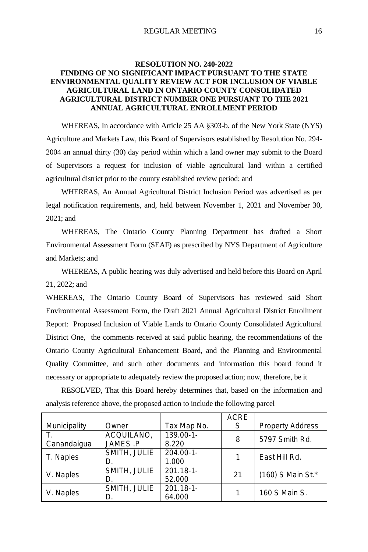# **RESOLUTION NO. 240-2022 FINDING OF NO SIGNIFICANT IMPACT PURSUANT TO THE STATE ENVIRONMENTAL QUALITY REVIEW ACT FOR INCLUSION OF VIABLE AGRICULTURAL LAND IN ONTARIO COUNTY CONSOLIDATED AGRICULTURAL DISTRICT NUMBER ONE PURSUANT TO THE 2021 ANNUAL AGRICULTURAL ENROLLMENT PERIOD**

WHEREAS, In accordance with Article 25 AA §303-b. of the New York State (NYS) Agriculture and Markets Law, this Board of Supervisors established by Resolution No. 294- 2004 an annual thirty (30) day period within which a land owner may submit to the Board of Supervisors a request for inclusion of viable agricultural land within a certified agricultural district prior to the county established review period; and

WHEREAS, An Annual Agricultural District Inclusion Period was advertised as per legal notification requirements, and, held between November 1, 2021 and November 30, 2021; and

WHEREAS, The Ontario County Planning Department has drafted a Short Environmental Assessment Form (SEAF) as prescribed by NYS Department of Agriculture and Markets; and

WHEREAS, A public hearing was duly advertised and held before this Board on April 21, 2022; and

WHEREAS, The Ontario County Board of Supervisors has reviewed said Short Environmental Assessment Form, the Draft 2021 Annual Agricultural District Enrollment Report: Proposed Inclusion of Viable Lands to Ontario County Consolidated Agricultural District One, the comments received at said public hearing, the recommendations of the Ontario County Agricultural Enhancement Board, and the Planning and Environmental Quality Committee, and such other documents and information this board found it necessary or appropriate to adequately review the proposed action; now, therefore, be it

RESOLVED, That this Board hereby determines that, based on the information and analysis reference above, the proposed action to include the following parcel

|              |                        |                         | <b>ACRE</b> |                         |
|--------------|------------------------|-------------------------|-------------|-------------------------|
| Municipality | Owner                  | Tax Map No.             | S           | <b>Property Address</b> |
| Canandaigua  | ACQUILANO,<br>JAMES .P | $139.00 - 1 -$<br>8.220 | 8           | 5797 Smith Rd.          |
|              |                        |                         |             |                         |
| T. Naples    | SMITH, JULIE           | $204.00 - 1 -$          |             | East Hill Rd.           |
|              | D.                     | 1.000                   |             |                         |
|              | SMITH, JULIE           | $201.18 - 1$            | 21          | (160) S Main St.*       |
| V. Naples    | D.                     | 52.000                  |             |                         |
|              | SMITH, JULIE           | $201.18 - 1$            |             |                         |
| V. Naples    | D.                     | 64.000                  |             | 160 S Main S.           |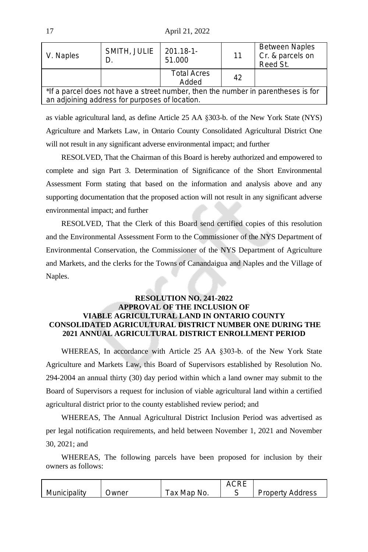17 April 21, 2022

| V. Naples                                                                                                                           | SMITH, JULIE | $201.18 - 1$<br>51.000      | 11 | <b>Between Naples</b><br>Cr. & parcels on<br>Reed St. |
|-------------------------------------------------------------------------------------------------------------------------------------|--------------|-----------------------------|----|-------------------------------------------------------|
|                                                                                                                                     |              | <b>Total Acres</b><br>Added | 42 |                                                       |
| *If a parcel does not have a street number, then the number in parentheses is for<br>an adjoining address for purposes of location. |              |                             |    |                                                       |

as viable agricultural land, as define Article 25 AA §303-b. of the New York State (NYS) Agriculture and Markets Law, in Ontario County Consolidated Agricultural District One will not result in any significant adverse environmental impact; and further

RESOLVED, That the Chairman of this Board is hereby authorized and empowered to complete and sign Part 3. Determination of Significance of the Short Environmental Assessment Form stating that based on the information and analysis above and any supporting documentation that the proposed action will not result in any significant adverse environmental impact; and further

RESOLVED, That the Clerk of this Board send certified copies of this resolution and the Environmental Assessment Form to the Commissioner of the NYS Department of Environmental Conservation, the Commissioner of the NYS Department of Agriculture and Markets, and the clerks for the Towns of Canandaigua and Naples and the Village of Naples.

# **RESOLUTION NO. 241-2022 APPROVAL OF THE INCLUSION OF VIABLE AGRICULTURAL LAND IN ONTARIO COUNTY CONSOLIDATED AGRICULTURAL DISTRICT NUMBER ONE DURING THE 2021 ANNUAL AGRICULTURAL DISTRICT ENROLLMENT PERIOD**

WHEREAS, In accordance with Article 25 AA §303-b. of the New York State Agriculture and Markets Law, this Board of Supervisors established by Resolution No. 294-2004 an annual thirty (30) day period within which a land owner may submit to the Board of Supervisors a request for inclusion of viable agricultural land within a certified agricultural district prior to the county established review period; and

WHEREAS, The Annual Agricultural District Inclusion Period was advertised as per legal notification requirements, and held between November 1, 2021 and November 30, 2021; and

WHEREAS, The following parcels have been proposed for inclusion by their owners as follows:

| Municipality | Jwner | ⊺ax Map No. | <b>Property Address</b> |
|--------------|-------|-------------|-------------------------|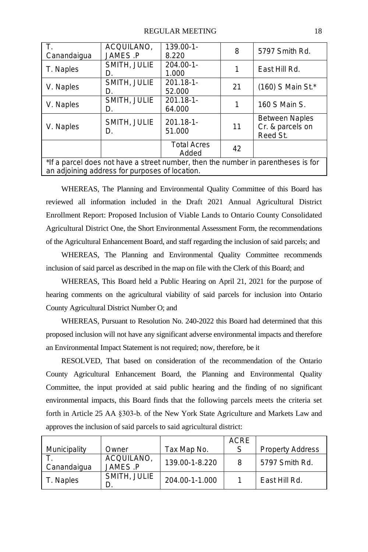| T.                                                                                | ACQUILANO.<br>JAMES P | $139.00 - 1 -$<br>8.220 | 8  | 5797 Smith Rd.        |
|-----------------------------------------------------------------------------------|-----------------------|-------------------------|----|-----------------------|
| Canandaigua                                                                       |                       |                         |    |                       |
|                                                                                   | SMITH, JULIE          | $204.00 - 1 -$          |    | East Hill Rd.         |
| T. Naples                                                                         | D.                    | 1.000                   |    |                       |
|                                                                                   | SMITH, JULIE          | $201.18 - 1$            | 21 |                       |
| V. Naples                                                                         | D.                    | 52.000                  |    | $(160)$ S Main St.*   |
|                                                                                   | SMITH, JULIE          | $201.18 - 1$            |    |                       |
| V. Naples                                                                         | D.                    | 64.000                  |    | 160 S Main S.         |
|                                                                                   |                       | $201.18 - 1$            |    | <b>Between Naples</b> |
| V. Naples                                                                         | SMITH, JULIE          |                         | 11 | Cr. & parcels on      |
|                                                                                   | D.                    | 51.000                  |    | Reed St.              |
|                                                                                   |                       | <b>Total Acres</b>      | 42 |                       |
|                                                                                   |                       | Added                   |    |                       |
| *If a parcel does not have a street number, then the number in parentheses is for |                       |                         |    |                       |
| an adjoining address for purposes of location.                                    |                       |                         |    |                       |

WHEREAS, The Planning and Environmental Quality Committee of this Board has reviewed all information included in the Draft 2021 Annual Agricultural District Enrollment Report: Proposed Inclusion of Viable Lands to Ontario County Consolidated Agricultural District One, the Short Environmental Assessment Form, the recommendations of the Agricultural Enhancement Board, and staff regarding the inclusion of said parcels; and

WHEREAS, The Planning and Environmental Quality Committee recommends inclusion of said parcel as described in the map on file with the Clerk of this Board; and

WHEREAS, This Board held a Public Hearing on April 21, 2021 for the purpose of hearing comments on the agricultural viability of said parcels for inclusion into Ontario County Agricultural District Number O; and

WHEREAS, Pursuant to Resolution No. 240-2022 this Board had determined that this proposed inclusion will not have any significant adverse environmental impacts and therefore an Environmental Impact Statement is not required; now, therefore, be it

RESOLVED, That based on consideration of the recommendation of the Ontario County Agricultural Enhancement Board, the Planning and Environmental Quality Committee, the input provided at said public hearing and the finding of no significant environmental impacts, this Board finds that the following parcels meets the criteria set forth in Article 25 AA §303-b. of the New York State Agriculture and Markets Law and approves the inclusion of said parcels to said agricultural district:

|              |                        |                | ACRE |                         |
|--------------|------------------------|----------------|------|-------------------------|
| Municipality | Owner                  | Tax Map No.    |      | <b>Property Address</b> |
| Canandaigua  | ACQUILANO.<br>JAMES .P | 139.00-1-8.220 | 8    | 5797 Smith Rd.          |
| T. Naples    | SMITH, JULIE           | 204.00-1-1.000 |      | East Hill Rd.           |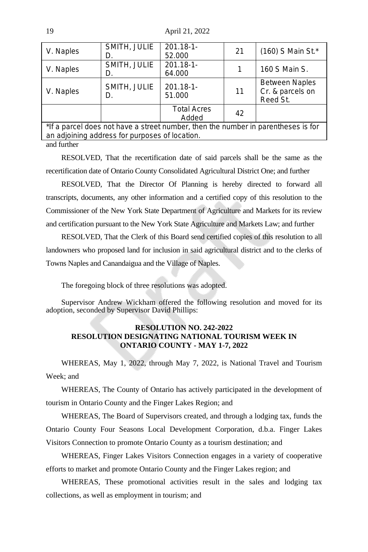19 April 21, 2022

| V. Naples                                                                         | SMITH, JULIE<br>D.                             | $201.18 - 1$<br>52.000      | 21 | (160) S Main St.*                                     |
|-----------------------------------------------------------------------------------|------------------------------------------------|-----------------------------|----|-------------------------------------------------------|
| V. Naples                                                                         | SMITH, JULIE<br>D.                             | $201.18 - 1$<br>64.000      |    | 160 S Main S.                                         |
| V. Naples                                                                         | SMITH, JULIE<br>D.                             | $201.18 - 1$<br>51.000      | 11 | <b>Between Naples</b><br>Cr. & parcels on<br>Reed St. |
|                                                                                   |                                                | <b>Total Acres</b><br>Added | 42 |                                                       |
| *If a parcel does not have a street number, then the number in parentheses is for |                                                |                             |    |                                                       |
|                                                                                   | an adjoining address for purposes of location. |                             |    |                                                       |

and further

RESOLVED, That the recertification date of said parcels shall be the same as the recertification date of Ontario County Consolidated Agricultural District One; and further

RESOLVED, That the Director Of Planning is hereby directed to forward all transcripts, documents, any other information and a certified copy of this resolution to the Commissioner of the New York State Department of Agriculture and Markets for its review and certification pursuant to the New York State Agriculture and Markets Law; and further

RESOLVED, That the Clerk of this Board send certified copies of this resolution to all landowners who proposed land for inclusion in said agricultural district and to the clerks of Towns Naples and Canandaigua and the Village of Naples.

The foregoing block of three resolutions was adopted.

Supervisor Andrew Wickham offered the following resolution and moved for its adoption, seconded by Supervisor David Phillips:

# **RESOLUTION NO. 242-2022 RESOLUTION DESIGNATING NATIONAL TOURISM WEEK IN ONTARIO COUNTY - MAY 1-7, 2022**

WHEREAS, May 1, 2022, through May 7, 2022, is National Travel and Tourism Week; and

WHEREAS, The County of Ontario has actively participated in the development of tourism in Ontario County and the Finger Lakes Region; and

WHEREAS, The Board of Supervisors created, and through a lodging tax, funds the Ontario County Four Seasons Local Development Corporation, d.b.a. Finger Lakes Visitors Connection to promote Ontario County as a tourism destination; and

WHEREAS, Finger Lakes Visitors Connection engages in a variety of cooperative efforts to market and promote Ontario County and the Finger Lakes region; and

WHEREAS, These promotional activities result in the sales and lodging tax collections, as well as employment in tourism; and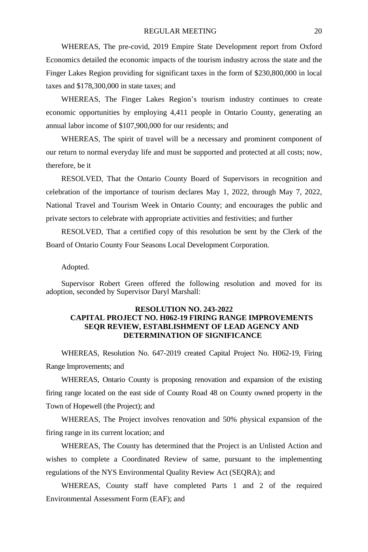WHEREAS, The pre-covid, 2019 Empire State Development report from Oxford Economics detailed the economic impacts of the tourism industry across the state and the Finger Lakes Region providing for significant taxes in the form of \$230,800,000 in local taxes and \$178,300,000 in state taxes; and

WHEREAS, The Finger Lakes Region's tourism industry continues to create economic opportunities by employing 4,411 people in Ontario County, generating an annual labor income of \$107,900,000 for our residents; and

WHEREAS, The spirit of travel will be a necessary and prominent component of our return to normal everyday life and must be supported and protected at all costs; now, therefore, be it

RESOLVED, That the Ontario County Board of Supervisors in recognition and celebration of the importance of tourism declares May 1, 2022, through May 7, 2022, National Travel and Tourism Week in Ontario County; and encourages the public and private sectors to celebrate with appropriate activities and festivities; and further

RESOLVED, That a certified copy of this resolution be sent by the Clerk of the Board of Ontario County Four Seasons Local Development Corporation.

Adopted.

Supervisor Robert Green offered the following resolution and moved for its adoption, seconded by Supervisor Daryl Marshall:

# **RESOLUTION NO. 243-2022 CAPITAL PROJECT NO. H062-19 FIRING RANGE IMPROVEMENTS SEQR REVIEW, ESTABLISHMENT OF LEAD AGENCY AND DETERMINATION OF SIGNIFICANCE**

WHEREAS, Resolution No. 647-2019 created Capital Project No. H062-19, Firing Range Improvements; and

WHEREAS, Ontario County is proposing renovation and expansion of the existing firing range located on the east side of County Road 48 on County owned property in the Town of Hopewell (the Project); and

WHEREAS, The Project involves renovation and 50% physical expansion of the firing range in its current location; and

WHEREAS, The County has determined that the Project is an Unlisted Action and wishes to complete a Coordinated Review of same, pursuant to the implementing regulations of the NYS Environmental Quality Review Act (SEQRA); and

WHEREAS, County staff have completed Parts 1 and 2 of the required Environmental Assessment Form (EAF); and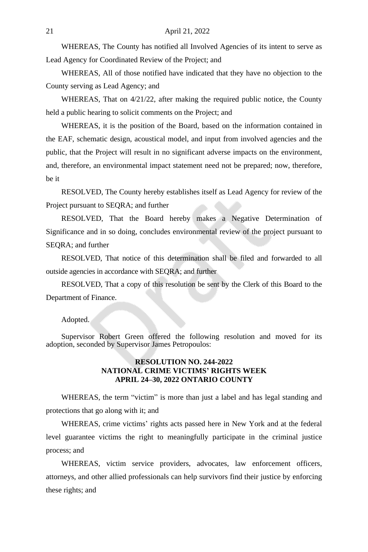WHEREAS, The County has notified all Involved Agencies of its intent to serve as Lead Agency for Coordinated Review of the Project; and

WHEREAS, All of those notified have indicated that they have no objection to the County serving as Lead Agency; and

WHEREAS, That on 4/21/22, after making the required public notice, the County held a public hearing to solicit comments on the Project; and

WHEREAS, it is the position of the Board, based on the information contained in the EAF, schematic design, acoustical model, and input from involved agencies and the public, that the Project will result in no significant adverse impacts on the environment, and, therefore, an environmental impact statement need not be prepared; now, therefore, be it

RESOLVED, The County hereby establishes itself as Lead Agency for review of the Project pursuant to SEQRA; and further

RESOLVED, That the Board hereby makes a Negative Determination of Significance and in so doing, concludes environmental review of the project pursuant to SEQRA; and further

RESOLVED, That notice of this determination shall be filed and forwarded to all outside agencies in accordance with SEQRA; and further

RESOLVED, That a copy of this resolution be sent by the Clerk of this Board to the Department of Finance.

#### Adopted.

Supervisor Robert Green offered the following resolution and moved for its adoption, seconded by Supervisor James Petropoulos:

#### **RESOLUTION NO. 244-2022 NATIONAL CRIME VICTIMS' RIGHTS WEEK APRIL 24–30, 2022 ONTARIO COUNTY**

WHEREAS, the term "victim" is more than just a label and has legal standing and protections that go along with it; and

WHEREAS, crime victims' rights acts passed here in New York and at the federal level guarantee victims the right to meaningfully participate in the criminal justice process; and

WHEREAS, victim service providers, advocates, law enforcement officers, attorneys, and other allied professionals can help survivors find their justice by enforcing these rights; and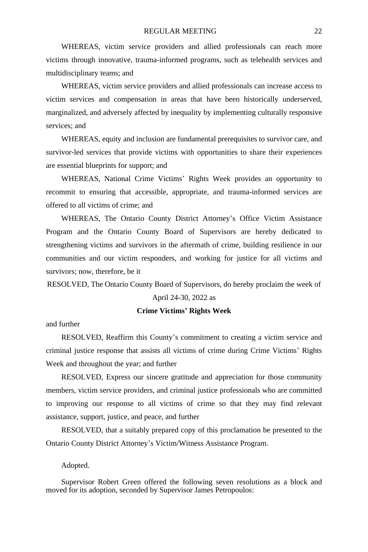WHEREAS, victim service providers and allied professionals can reach more victims through innovative, trauma-informed programs, such as telehealth services and multidisciplinary teams; and

WHEREAS, victim service providers and allied professionals can increase access to victim services and compensation in areas that have been historically underserved, marginalized, and adversely affected by inequality by implementing culturally responsive services; and

WHEREAS, equity and inclusion are fundamental prerequisites to survivor care, and survivor-led services that provide victims with opportunities to share their experiences are essential blueprints for support; and

WHEREAS, National Crime Victims' Rights Week provides an opportunity to recommit to ensuring that accessible, appropriate, and trauma-informed services are offered to all victims of crime; and

WHEREAS, The Ontario County District Attorney's Office Victim Assistance Program and the Ontario County Board of Supervisors are hereby dedicated to strengthening victims and survivors in the aftermath of crime, building resilience in our communities and our victim responders, and working for justice for all victims and survivors; now, therefore, be it

RESOLVED, The Ontario County Board of Supervisors, do hereby proclaim the week of

#### April 24-30, 2022 as

#### **Crime Victims' Rights Week**

and further

RESOLVED, Reaffirm this County's commitment to creating a victim service and criminal justice response that assists all victims of crime during Crime Victims' Rights Week and throughout the year; and further

RESOLVED, Express our sincere gratitude and appreciation for those community members, victim service providers, and criminal justice professionals who are committed to improving our response to all victims of crime so that they may find relevant assistance, support, justice, and peace, and further

RESOLVED, that a suitably prepared copy of this proclamation be presented to the Ontario County District Attorney's Victim/Witness Assistance Program.

Adopted.

Supervisor Robert Green offered the following seven resolutions as a block and moved for its adoption, seconded by Supervisor James Petropoulos: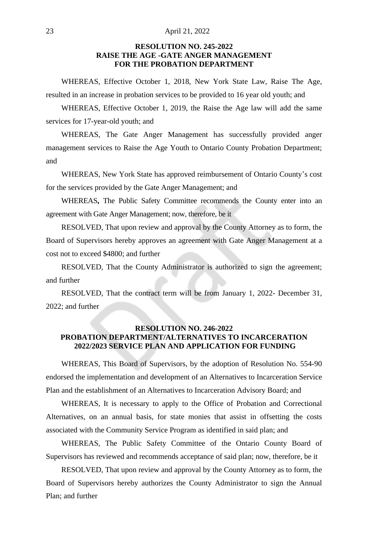#### 23 April 21, 2022

## **RESOLUTION NO. 245-2022 RAISE THE AGE -GATE ANGER MANAGEMENT FOR THE PROBATION DEPARTMENT**

WHEREAS, Effective October 1, 2018, New York State Law, Raise The Age, resulted in an increase in probation services to be provided to 16 year old youth; and

WHEREAS, Effective October 1, 2019, the Raise the Age law will add the same services for 17-year-old youth; and

WHEREAS, The Gate Anger Management has successfully provided anger management services to Raise the Age Youth to Ontario County Probation Department; and

WHEREAS, New York State has approved reimbursement of Ontario County's cost for the services provided by the Gate Anger Management; and

WHEREAS**,** The Public Safety Committee recommends the County enter into an agreement with Gate Anger Management; now, therefore, be it

RESOLVED, That upon review and approval by the County Attorney as to form, the Board of Supervisors hereby approves an agreement with Gate Anger Management at a cost not to exceed \$4800; and further

RESOLVED, That the County Administrator is authorized to sign the agreement; and further

RESOLVED, That the contract term will be from January 1, 2022- December 31, 2022; and further

# **RESOLUTION NO. 246-2022 PROBATION DEPARTMENT/ALTERNATIVES TO INCARCERATION 2022/2023 SERVICE PLAN AND APPLICATION FOR FUNDING**

WHEREAS, This Board of Supervisors, by the adoption of Resolution No. 554-90 endorsed the implementation and development of an Alternatives to Incarceration Service Plan and the establishment of an Alternatives to Incarceration Advisory Board; and

WHEREAS, It is necessary to apply to the Office of Probation and Correctional Alternatives, on an annual basis, for state monies that assist in offsetting the costs associated with the Community Service Program as identified in said plan; and

WHEREAS, The Public Safety Committee of the Ontario County Board of Supervisors has reviewed and recommends acceptance of said plan; now, therefore, be it

RESOLVED, That upon review and approval by the County Attorney as to form, the Board of Supervisors hereby authorizes the County Administrator to sign the Annual Plan; and further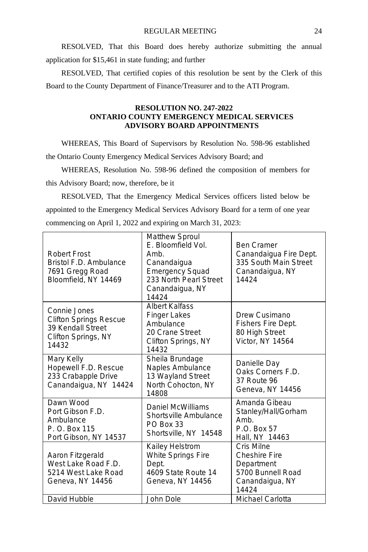RESOLVED, That this Board does hereby authorize submitting the annual application for \$15,461 in state funding; and further

RESOLVED, That certified copies of this resolution be sent by the Clerk of this Board to the County Department of Finance/Treasurer and to the ATI Program.

## **RESOLUTION NO. 247-2022 ONTARIO COUNTY EMERGENCY MEDICAL SERVICES ADVISORY BOARD APPOINTMENTS**

WHEREAS, This Board of Supervisors by Resolution No. 598-96 established the Ontario County Emergency Medical Services Advisory Board; and

WHEREAS, Resolution No. 598-96 defined the composition of members for this Advisory Board; now, therefore, be it

RESOLVED, That the Emergency Medical Services officers listed below be appointed to the Emergency Medical Services Advisory Board for a term of one year commencing on April 1, 2022 and expiring on March 31, 2023:

| Robert Frost<br>Bristol F.D. Ambulance<br>7691 Gregg Road<br>Bloomfield, NY 14469                  | Matthew Sproul<br>E. Bloomfield Vol.<br>Amb.<br>Canandaigua<br><b>Emergency Squad</b><br>233 North Pearl Street<br>Canandaigua, NY<br>14424 | <b>Ben Cramer</b><br>Canandaigua Fire Dept.<br>335 South Main Street<br>Canandaigua, NY<br>14424                      |
|----------------------------------------------------------------------------------------------------|---------------------------------------------------------------------------------------------------------------------------------------------|-----------------------------------------------------------------------------------------------------------------------|
| Connie Jones<br>Clifton Springs Rescue<br>39 Kendall Street<br>Clifton Springs, NY<br>14432        | <b>Albert Kalfass</b><br><b>Finger Lakes</b><br>Ambulance<br>20 Crane Street<br>Clifton Springs, NY<br>14432                                | Drew Cusimano<br>Fishers Fire Dept.<br>80 High Street<br>Victor, NY 14564                                             |
| Mary Kelly<br>Hopewell F.D. Rescue<br>233 Crabapple Drive<br>Canandaigua, NY 14424                 | Sheila Brundage<br>Naples Ambulance<br>13 Wayland Street<br>North Cohocton, NY<br>14808                                                     | Danielle Day<br>Oaks Corners F.D.<br>37 Route 96<br>Geneva, NY 14456                                                  |
| Dawn Wood<br>Port Gibson F.D.<br>Ambulance<br>P. O. Box 115<br>Port Gibson, NY 14537               | Daniel McWilliams<br>Shortsville Ambulance<br>PO Box 33<br>Shortsville, NY 14548                                                            | Amanda Gibeau<br>Stanley/Hall/Gorham<br>Amb.<br>P.O. Box 57<br>Hall, NY 14463                                         |
| Aaron Fitzgerald<br>West Lake Road F.D.<br>5214 West Lake Road<br>Geneva, NY 14456<br>David Hubble | Kailey Helstrom<br>White Springs Fire<br>Dept.<br>4609 State Route 14<br>Geneva, NY 14456<br>John Dole                                      | Cris Milne<br><b>Cheshire Fire</b><br>Department<br>5700 Bunnell Road<br>Canandaigua, NY<br>14424<br>Michael Carlotta |
|                                                                                                    |                                                                                                                                             |                                                                                                                       |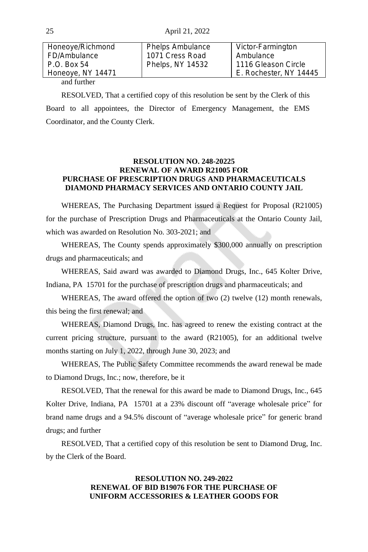| Honeoye/Richmond  | Phelps Ambulance | Victor-Farmington      |
|-------------------|------------------|------------------------|
| FD/Ambulance      | 1071 Cress Road  | Ambulance              |
| P.O. Box 54       | Phelps, NY 14532 | 1116 Gleason Circle    |
| Honeoye, NY 14471 |                  | E. Rochester, NY 14445 |
| and further       |                  |                        |

RESOLVED, That a certified copy of this resolution be sent by the Clerk of this Board to all appointees, the Director of Emergency Management, the EMS Coordinator, and the County Clerk.

#### **RESOLUTION NO. 248-20225 RENEWAL OF AWARD R21005 FOR PURCHASE OF PRESCRIPTION DRUGS AND PHARMACEUTICALS DIAMOND PHARMACY SERVICES AND ONTARIO COUNTY JAIL**

WHEREAS, The Purchasing Department issued a Request for Proposal (R21005) for the purchase of Prescription Drugs and Pharmaceuticals at the Ontario County Jail, which was awarded on Resolution No. 303-2021; and

WHEREAS, The County spends approximately \$300,000 annually on prescription drugs and pharmaceuticals; and

WHEREAS, Said award was awarded to Diamond Drugs, Inc., 645 Kolter Drive, Indiana, PA 15701 for the purchase of prescription drugs and pharmaceuticals; and

WHEREAS, The award offered the option of two  $(2)$  twelve  $(12)$  month renewals, this being the first renewal; and

WHEREAS, Diamond Drugs, Inc. has agreed to renew the existing contract at the current pricing structure, pursuant to the award (R21005), for an additional twelve months starting on July 1, 2022, through June 30, 2023; and

WHEREAS, The Public Safety Committee recommends the award renewal be made to Diamond Drugs, Inc.; now, therefore, be it

RESOLVED, That the renewal for this award be made to Diamond Drugs, Inc., 645 Kolter Drive, Indiana, PA 15701 at a 23% discount off "average wholesale price" for brand name drugs and a 94.5% discount of "average wholesale price" for generic brand drugs; and further

RESOLVED, That a certified copy of this resolution be sent to Diamond Drug, Inc. by the Clerk of the Board.

# **RESOLUTION NO. 249-2022 RENEWAL OF BID B19076 FOR THE PURCHASE OF UNIFORM ACCESSORIES & LEATHER GOODS FOR**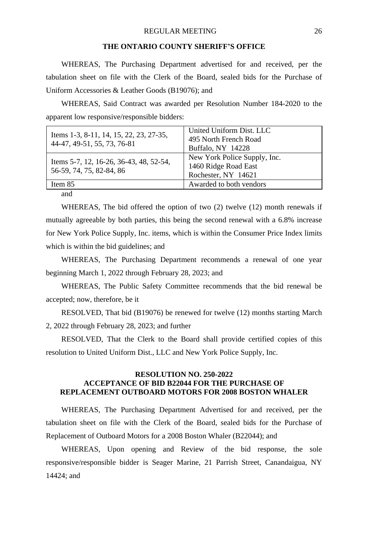#### **THE ONTARIO COUNTY SHERIFF'S OFFICE**

WHEREAS, The Purchasing Department advertised for and received, per the tabulation sheet on file with the Clerk of the Board, sealed bids for the Purchase of Uniform Accessories & Leather Goods (B19076); and

WHEREAS, Said Contract was awarded per Resolution Number 184-2020 to the apparent low responsive/responsible bidders:

|                                                                     | United Uniform Dist. LLC     |
|---------------------------------------------------------------------|------------------------------|
| Items 1-3, 8-11, 14, 15, 22, 23, 27-35,                             | 495 North French Road        |
| 44-47, 49-51, 55, 73, 76-81                                         | Buffalo, NY 14228            |
| Items 5-7, 12, 16-26, 36-43, 48, 52-54,<br>56-59, 74, 75, 82-84, 86 | New York Police Supply, Inc. |
|                                                                     | 1460 Ridge Road East         |
|                                                                     | Rochester, NY 14621          |
| Item 85                                                             | Awarded to both vendors      |

and

WHEREAS, The bid offered the option of two (2) twelve (12) month renewals if mutually agreeable by both parties, this being the second renewal with a 6.8% increase for New York Police Supply, Inc. items, which is within the Consumer Price Index limits which is within the bid guidelines; and

WHEREAS, The Purchasing Department recommends a renewal of one year beginning March 1, 2022 through February 28, 2023; and

WHEREAS, The Public Safety Committee recommends that the bid renewal be accepted; now, therefore, be it

RESOLVED, That bid (B19076) be renewed for twelve (12) months starting March 2, 2022 through February 28, 2023; and further

RESOLVED, That the Clerk to the Board shall provide certified copies of this resolution to United Uniform Dist., LLC and New York Police Supply, Inc.

# **RESOLUTION NO. 250-2022 ACCEPTANCE OF BID B22044 FOR THE PURCHASE OF REPLACEMENT OUTBOARD MOTORS FOR 2008 BOSTON WHALER**

WHEREAS, The Purchasing Department Advertised for and received, per the tabulation sheet on file with the Clerk of the Board, sealed bids for the Purchase of Replacement of Outboard Motors for a 2008 Boston Whaler (B22044); and

WHEREAS, Upon opening and Review of the bid response, the sole responsive/responsible bidder is Seager Marine, 21 Parrish Street, Canandaigua, NY 14424; and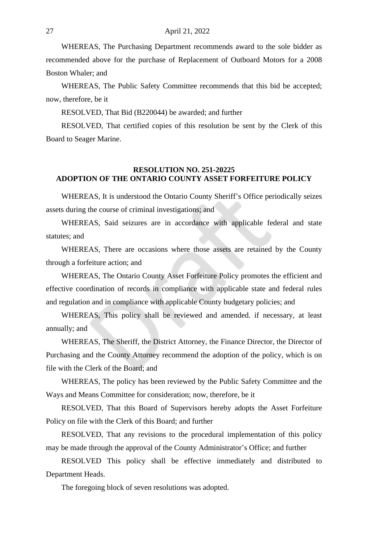WHEREAS, The Purchasing Department recommends award to the sole bidder as recommended above for the purchase of Replacement of Outboard Motors for a 2008 Boston Whaler; and

WHEREAS, The Public Safety Committee recommends that this bid be accepted; now, therefore, be it

RESOLVED, That Bid (B220044) be awarded; and further

RESOLVED, That certified copies of this resolution be sent by the Clerk of this Board to Seager Marine.

# **RESOLUTION NO. 251-20225 ADOPTION OF THE ONTARIO COUNTY ASSET FORFEITURE POLICY**

WHEREAS, It is understood the Ontario County Sheriff's Office periodically seizes assets during the course of criminal investigations; and

WHEREAS, Said seizures are in accordance with applicable federal and state statutes; and

WHEREAS, There are occasions where those assets are retained by the County through a forfeiture action; and

WHEREAS, The Ontario County Asset Forfeiture Policy promotes the efficient and effective coordination of records in compliance with applicable state and federal rules and regulation and in compliance with applicable County budgetary policies; and

WHEREAS, This policy shall be reviewed and amended. if necessary, at least annually; and

WHEREAS, The Sheriff, the District Attorney, the Finance Director, the Director of Purchasing and the County Attorney recommend the adoption of the policy, which is on file with the Clerk of the Board; and

WHEREAS, The policy has been reviewed by the Public Safety Committee and the Ways and Means Committee for consideration; now, therefore, be it

RESOLVED, That this Board of Supervisors hereby adopts the Asset Forfeiture Policy on file with the Clerk of this Board; and further

RESOLVED, That any revisions to the procedural implementation of this policy may be made through the approval of the County Administrator's Office; and further

RESOLVED This policy shall be effective immediately and distributed to Department Heads.

The foregoing block of seven resolutions was adopted.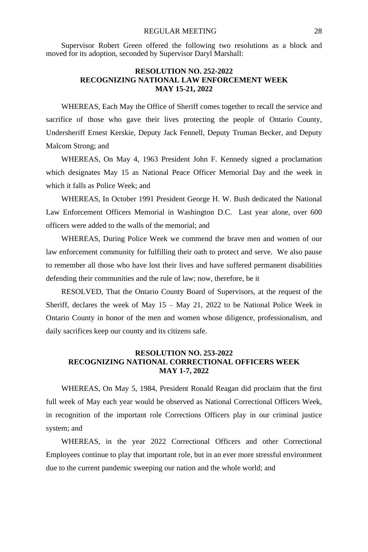Supervisor Robert Green offered the following two resolutions as a block and moved for its adoption, seconded by Supervisor Daryl Marshall:

# **RESOLUTION NO. 252-2022 RECOGNIZING NATIONAL LAW ENFORCEMENT WEEK MAY 15-21, 2022**

WHEREAS, Each May the Office of Sheriff comes together to recall the service and sacrifice of those who gave their lives protecting the people of Ontario County, Undersheriff Ernest Kerskie, Deputy Jack Fennell, Deputy Truman Becker, and Deputy Malcom Strong; and

WHEREAS, On May 4, 1963 President John F. Kennedy signed a proclamation which designates May 15 as National Peace Officer Memorial Day and the week in which it falls as Police Week; and

WHEREAS, In October 1991 President George H. W. Bush dedicated the National Law Enforcement Officers Memorial in Washington D.C. Last year alone, over 600 officers were added to the walls of the memorial; and

WHEREAS, During Police Week we commend the brave men and women of our law enforcement community for fulfilling their oath to protect and serve. We also pause to remember all those who have lost their lives and have suffered permanent disabilities defending their communities and the rule of law; now, therefore, be it

RESOLVED, That the Ontario County Board of Supervisors, at the request of the Sheriff, declares the week of May  $15 -$  May  $21$ ,  $2022$  to be National Police Week in Ontario County in honor of the men and women whose diligence, professionalism, and daily sacrifices keep our county and its citizens safe.

#### **RESOLUTION NO. 253-2022 RECOGNIZING NATIONAL CORRECTIONAL OFFICERS WEEK MAY 1-7, 2022**

WHEREAS, On May 5, 1984, President Ronald Reagan did proclaim that the first full week of May each year would be observed as National Correctional Officers Week, in recognition of the important role Corrections Officers play in our criminal justice system; and

WHEREAS, in the year 2022 Correctional Officers and other Correctional Employees continue to play that important role, but in an ever more stressful environment due to the current pandemic sweeping our nation and the whole world; and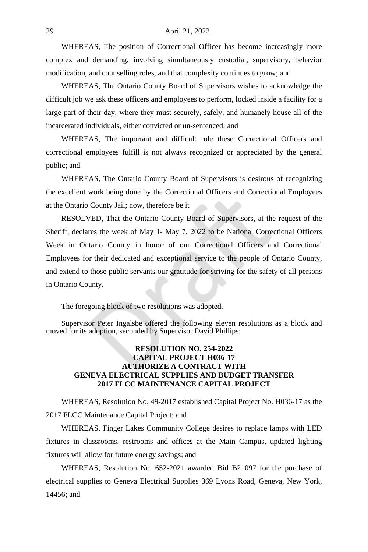#### 29 April 21, 2022

WHEREAS, The position of Correctional Officer has become increasingly more complex and demanding, involving simultaneously custodial, supervisory, behavior modification, and counselling roles, and that complexity continues to grow; and

WHEREAS, The Ontario County Board of Supervisors wishes to acknowledge the difficult job we ask these officers and employees to perform, locked inside a facility for a large part of their day, where they must securely, safely, and humanely house all of the incarcerated individuals, either convicted or un-sentenced; and

WHEREAS, The important and difficult role these Correctional Officers and correctional employees fulfill is not always recognized or appreciated by the general public; and

WHEREAS, The Ontario County Board of Supervisors is desirous of recognizing the excellent work being done by the Correctional Officers and Correctional Employees at the Ontario County Jail; now, therefore be it

RESOLVED, That the Ontario County Board of Supervisors, at the request of the Sheriff, declares the week of May 1- May 7, 2022 to be National Correctional Officers Week in Ontario County in honor of our Correctional Officers and Correctional Employees for their dedicated and exceptional service to the people of Ontario County, and extend to those public servants our gratitude for striving for the safety of all persons in Ontario County.

The foregoing block of two resolutions was adopted.

Supervisor Peter Ingalsbe offered the following eleven resolutions as a block and moved for its adoption, seconded by Supervisor David Phillips:

# **RESOLUTION NO. 254-2022 CAPITAL PROJECT H036-17 AUTHORIZE A CONTRACT WITH GENEVA ELECTRICAL SUPPLIES AND BUDGET TRANSFER 2017 FLCC MAINTENANCE CAPITAL PROJECT**

WHEREAS, Resolution No. 49-2017 established Capital Project No. H036-17 as the 2017 FLCC Maintenance Capital Project; and

WHEREAS, Finger Lakes Community College desires to replace lamps with LED fixtures in classrooms, restrooms and offices at the Main Campus, updated lighting fixtures will allow for future energy savings; and

WHEREAS, Resolution No. 652-2021 awarded Bid B21097 for the purchase of electrical supplies to Geneva Electrical Supplies 369 Lyons Road, Geneva, New York, 14456; and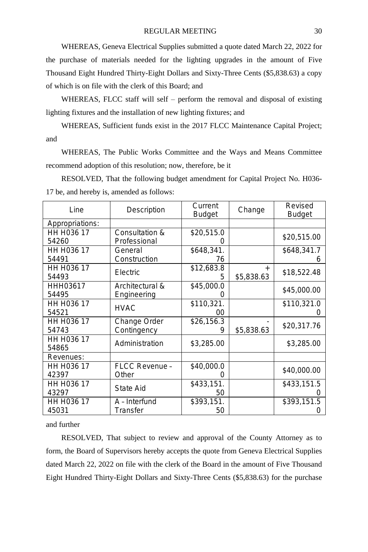WHEREAS, Geneva Electrical Supplies submitted a quote dated March 22, 2022 for the purchase of materials needed for the lighting upgrades in the amount of Five Thousand Eight Hundred Thirty-Eight Dollars and Sixty-Three Cents (\$5,838.63) a copy of which is on file with the clerk of this Board; and

WHEREAS, FLCC staff will self – perform the removal and disposal of existing lighting fixtures and the installation of new lighting fixtures; and

WHEREAS, Sufficient funds exist in the 2017 FLCC Maintenance Capital Project; and

WHEREAS, The Public Works Committee and the Ways and Means Committee recommend adoption of this resolution; now, therefore, be it

RESOLVED, That the following budget amendment for Capital Project No. H036- 17 be, and hereby is, amended as follows:

| Line                    | Description           | Current<br><b>Budget</b> | Change     | Revised<br><b>Budget</b> |
|-------------------------|-----------------------|--------------------------|------------|--------------------------|
| Appropriations:         |                       |                          |            |                          |
| HH H036 17              | Consultation &        | \$20,515.0               |            | \$20,515.00              |
| 54260                   | Professional          | Ο                        |            |                          |
| HH H036 17              | General               | \$648,341.               |            | \$648,341.7              |
| 54491                   | Construction          | 76                       |            | 6                        |
| HH H <sub>0</sub> 36 17 | Electric              | \$12,683.8               |            | \$18,522.48              |
| 54493                   |                       | 5                        | \$5,838.63 |                          |
| HHH03617                | Architectural &       | \$45,000.0               |            | \$45,000.00              |
| 54495                   | Engineering           | O                        |            |                          |
| HH H <sub>0</sub> 36 17 | <b>HVAC</b>           | \$110,321.               |            | \$110,321.0              |
| 54521                   |                       | ΩO                       |            |                          |
| HH H036 17              | Change Order          | \$26,156.3               |            | \$20,317.76              |
| 54743                   | Contingency           |                          | \$5,838.63 |                          |
| HH H <sub>0</sub> 36 17 | Administration        | \$3,285.00               |            | \$3,285.00               |
| 54865                   |                       |                          |            |                          |
| Revenues:               |                       |                          |            |                          |
| HH H036 17              | <b>FLCC Revenue -</b> | \$40,000.0               |            | \$40,000.00              |
| 42397                   | Other                 | O                        |            |                          |
| HH H036 17              | State Aid             | \$433,151.               |            | \$433,151.5              |
| 43297                   |                       | 50                       |            |                          |
| HH H036 17              | A - Interfund         | \$393,151.               |            | \$393,151.5              |
| 45031                   | Transfer              | 50                       |            |                          |

and further

RESOLVED, That subject to review and approval of the County Attorney as to form, the Board of Supervisors hereby accepts the quote from Geneva Electrical Supplies dated March 22, 2022 on file with the clerk of the Board in the amount of Five Thousand Eight Hundred Thirty-Eight Dollars and Sixty-Three Cents (\$5,838.63) for the purchase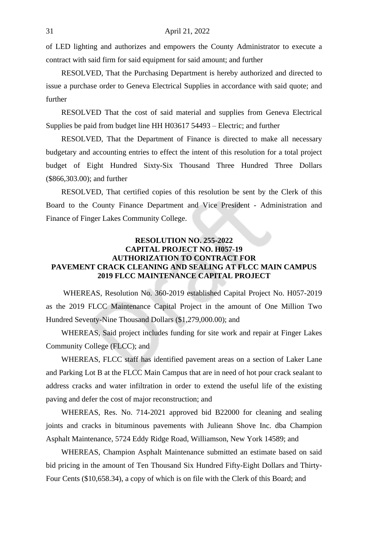of LED lighting and authorizes and empowers the County Administrator to execute a contract with said firm for said equipment for said amount; and further

RESOLVED, That the Purchasing Department is hereby authorized and directed to issue a purchase order to Geneva Electrical Supplies in accordance with said quote; and further

RESOLVED That the cost of said material and supplies from Geneva Electrical Supplies be paid from budget line HH H03617 54493 – Electric; and further

RESOLVED, That the Department of Finance is directed to make all necessary budgetary and accounting entries to effect the intent of this resolution for a total project budget of Eight Hundred Sixty-Six Thousand Three Hundred Three Dollars (\$866,303.00); and further

RESOLVED, That certified copies of this resolution be sent by the Clerk of this Board to the County Finance Department and Vice President - Administration and Finance of Finger Lakes Community College.

# **RESOLUTION NO. 255-2022 CAPITAL PROJECT NO. H057-19 AUTHORIZATION TO CONTRACT FOR PAVEMENT CRACK CLEANING AND SEALING AT FLCC MAIN CAMPUS 2019 FLCC MAINTENANCE CAPITAL PROJECT**

WHEREAS, Resolution No. 360-2019 established Capital Project No. H057-2019 as the 2019 FLCC Maintenance Capital Project in the amount of One Million Two Hundred Seventy-Nine Thousand Dollars (\$1,279,000.00); and

WHEREAS, Said project includes funding for site work and repair at Finger Lakes Community College (FLCC); and

WHEREAS, FLCC staff has identified pavement areas on a section of Laker Lane and Parking Lot B at the FLCC Main Campus that are in need of hot pour crack sealant to address cracks and water infiltration in order to extend the useful life of the existing paving and defer the cost of major reconstruction; and

WHEREAS, Res. No. 714-2021 approved bid B22000 for cleaning and sealing joints and cracks in bituminous pavements with Julieann Shove Inc. dba Champion Asphalt Maintenance, 5724 Eddy Ridge Road, Williamson, New York 14589; and

WHEREAS, Champion Asphalt Maintenance submitted an estimate based on said bid pricing in the amount of Ten Thousand Six Hundred Fifty-Eight Dollars and Thirty-Four Cents (\$10,658.34), a copy of which is on file with the Clerk of this Board; and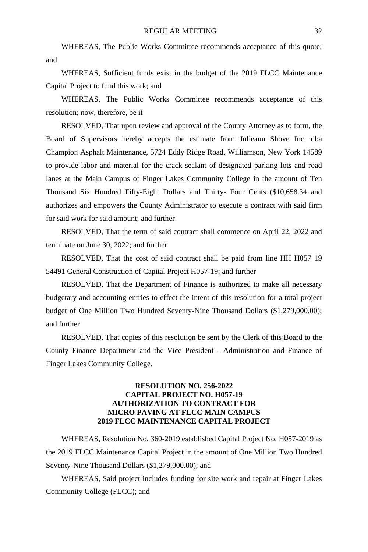WHEREAS, The Public Works Committee recommends acceptance of this quote; and

WHEREAS, Sufficient funds exist in the budget of the 2019 FLCC Maintenance Capital Project to fund this work; and

WHEREAS, The Public Works Committee recommends acceptance of this resolution; now, therefore, be it

RESOLVED, That upon review and approval of the County Attorney as to form, the Board of Supervisors hereby accepts the estimate from Julieann Shove Inc. dba Champion Asphalt Maintenance, 5724 Eddy Ridge Road, Williamson, New York 14589 to provide labor and material for the crack sealant of designated parking lots and road lanes at the Main Campus of Finger Lakes Community College in the amount of Ten Thousand Six Hundred Fifty-Eight Dollars and Thirty- Four Cents (\$10,658.34 and authorizes and empowers the County Administrator to execute a contract with said firm for said work for said amount; and further

RESOLVED, That the term of said contract shall commence on April 22, 2022 and terminate on June 30, 2022; and further

RESOLVED, That the cost of said contract shall be paid from line HH H057 19 54491 General Construction of Capital Project H057-19; and further

RESOLVED, That the Department of Finance is authorized to make all necessary budgetary and accounting entries to effect the intent of this resolution for a total project budget of One Million Two Hundred Seventy-Nine Thousand Dollars (\$1,279,000.00); and further

RESOLVED, That copies of this resolution be sent by the Clerk of this Board to the County Finance Department and the Vice President - Administration and Finance of Finger Lakes Community College.

#### **RESOLUTION NO. 256-2022 CAPITAL PROJECT NO. H057-19 AUTHORIZATION TO CONTRACT FOR MICRO PAVING AT FLCC MAIN CAMPUS 2019 FLCC MAINTENANCE CAPITAL PROJECT**

WHEREAS, Resolution No. 360-2019 established Capital Project No. H057-2019 as the 2019 FLCC Maintenance Capital Project in the amount of One Million Two Hundred Seventy-Nine Thousand Dollars (\$1,279,000.00); and

WHEREAS, Said project includes funding for site work and repair at Finger Lakes Community College (FLCC); and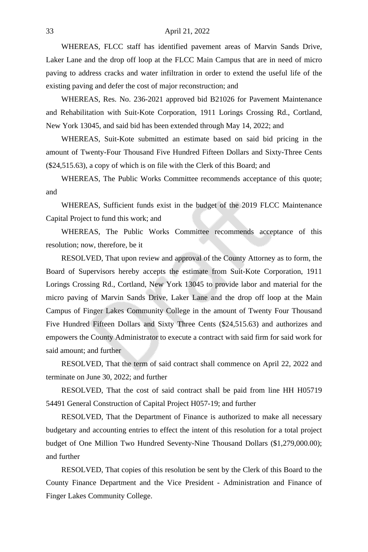#### 33 April 21, 2022

WHEREAS, FLCC staff has identified pavement areas of Marvin Sands Drive, Laker Lane and the drop off loop at the FLCC Main Campus that are in need of micro paving to address cracks and water infiltration in order to extend the useful life of the existing paving and defer the cost of major reconstruction; and

WHEREAS, Res. No. 236-2021 approved bid B21026 for Pavement Maintenance and Rehabilitation with Suit-Kote Corporation, 1911 Lorings Crossing Rd., Cortland, New York 13045, and said bid has been extended through May 14, 2022; and

WHEREAS, Suit-Kote submitted an estimate based on said bid pricing in the amount of Twenty-Four Thousand Five Hundred Fifteen Dollars and Sixty-Three Cents (\$24,515.63), a copy of which is on file with the Clerk of this Board; and

WHEREAS, The Public Works Committee recommends acceptance of this quote; and

WHEREAS, Sufficient funds exist in the budget of the 2019 FLCC Maintenance Capital Project to fund this work; and

WHEREAS, The Public Works Committee recommends acceptance of this resolution; now, therefore, be it

RESOLVED, That upon review and approval of the County Attorney as to form, the Board of Supervisors hereby accepts the estimate from Suit-Kote Corporation, 1911 Lorings Crossing Rd., Cortland, New York 13045 to provide labor and material for the micro paving of Marvin Sands Drive, Laker Lane and the drop off loop at the Main Campus of Finger Lakes Community College in the amount of Twenty Four Thousand Five Hundred Fifteen Dollars and Sixty Three Cents (\$24,515.63) and authorizes and empowers the County Administrator to execute a contract with said firm for said work for said amount; and further

RESOLVED, That the term of said contract shall commence on April 22, 2022 and terminate on June 30, 2022; and further

RESOLVED, That the cost of said contract shall be paid from line HH H05719 54491 General Construction of Capital Project H057-19; and further

RESOLVED, That the Department of Finance is authorized to make all necessary budgetary and accounting entries to effect the intent of this resolution for a total project budget of One Million Two Hundred Seventy-Nine Thousand Dollars (\$1,279,000.00); and further

RESOLVED, That copies of this resolution be sent by the Clerk of this Board to the County Finance Department and the Vice President - Administration and Finance of Finger Lakes Community College.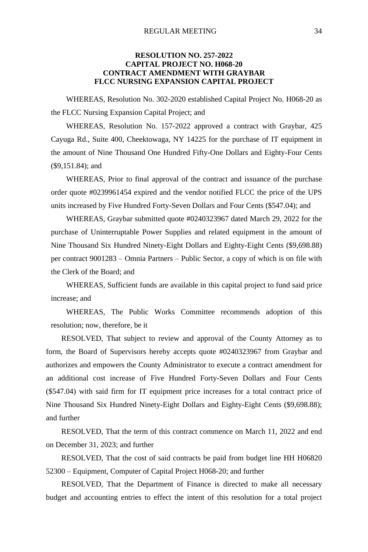# **RESOLUTION NO. 257-2022 CAPITAL PROJECT NO. H068-20 CONTRACT AMENDMENT WITH GRAYBAR FLCC NURSING EXPANSION CAPITAL PROJECT**

WHEREAS, Resolution No. 302-2020 established Capital Project No. H068-20 as the FLCC Nursing Expansion Capital Project; and

WHEREAS, Resolution No. 157-2022 approved a contract with Graybar, 425 Cayuga Rd., Suite 400, Cheektowaga, NY 14225 for the purchase of IT equipment in the amount of Nine Thousand One Hundred Fifty-One Dollars and Eighty-Four Cents (\$9,151.84); and

WHEREAS, Prior to final approval of the contract and issuance of the purchase order quote #0239961454 expired and the vendor notified FLCC the price of the UPS units increased by Five Hundred Forty-Seven Dollars and Four Cents (\$547.04); and

WHEREAS, Graybar submitted quote #0240323967 dated March 29, 2022 for the purchase of Uninterruptable Power Supplies and related equipment in the amount of Nine Thousand Six Hundred Ninety-Eight Dollars and Eighty-Eight Cents (\$9,698.88) per contract 9001283 – Omnia Partners – Public Sector, a copy of which is on file with the Clerk of the Board; and

WHEREAS, Sufficient funds are available in this capital project to fund said price increase; and

WHEREAS, The Public Works Committee recommends adoption of this resolution; now, therefore, be it

RESOLVED, That subject to review and approval of the County Attorney as to form, the Board of Supervisors hereby accepts quote #0240323967 from Graybar and authorizes and empowers the County Administrator to execute a contract amendment for an additional cost increase of Five Hundred Forty-Seven Dollars and Four Cents (\$547.04) with said firm for IT equipment price increases for a total contract price of Nine Thousand Six Hundred Ninety-Eight Dollars and Eighty-Eight Cents (\$9,698.88); and further

RESOLVED, That the term of this contract commence on March 11, 2022 and end on December 31, 2023; and further

RESOLVED, That the cost of said contracts be paid from budget line HH H06820 52300 – Equipment, Computer of Capital Project H068-20; and further

RESOLVED, That the Department of Finance is directed to make all necessary budget and accounting entries to effect the intent of this resolution for a total project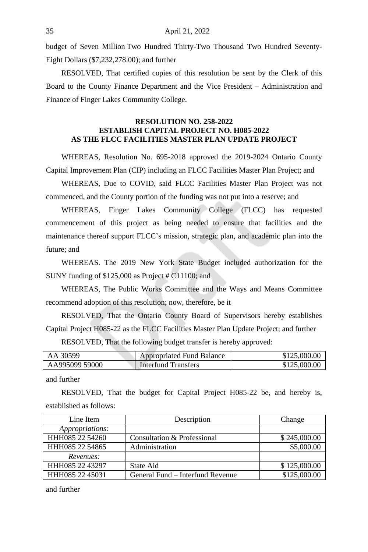budget of Seven Million Two Hundred Thirty-Two Thousand Two Hundred Seventy-Eight Dollars (\$7,232,278.00); and further

RESOLVED, That certified copies of this resolution be sent by the Clerk of this Board to the County Finance Department and the Vice President – Administration and Finance of Finger Lakes Community College.

#### **RESOLUTION NO. 258-2022 ESTABLISH CAPITAL PROJECT NO. H085-2022 AS THE FLCC FACILITIES MASTER PLAN UPDATE PROJECT**

WHEREAS, Resolution No. 695-2018 approved the 2019-2024 Ontario County Capital Improvement Plan (CIP) including an FLCC Facilities Master Plan Project; and

WHEREAS, Due to COVID, said FLCC Facilities Master Plan Project was not commenced, and the County portion of the funding was not put into a reserve; and

WHEREAS, Finger Lakes Community College (FLCC) has requested commencement of this project as being needed to ensure that facilities and the maintenance thereof support FLCC's mission, strategic plan, and academic plan into the future; and

WHEREAS. The 2019 New York State Budget included authorization for the SUNY funding of \$125,000 as Project # C11100; and

WHEREAS, The Public Works Committee and the Ways and Means Committee recommend adoption of this resolution; now, therefore, be it

RESOLVED, That the Ontario County Board of Supervisors hereby establishes Capital Project H085-22 as the FLCC Facilities Master Plan Update Project; and further

RESOLVED, That the following budget transfer is hereby approved:

| AA 30599       | <b>Appropriated Fund Balance</b> | \$125,000.00 |
|----------------|----------------------------------|--------------|
| AA995099 59000 | <b>Interfund Transfers</b>       | \$125,000.00 |

and further

RESOLVED, That the budget for Capital Project H085-22 be, and hereby is, established as follows:

| Line Item       | Description                      | Change       |
|-----------------|----------------------------------|--------------|
| Appropriations: |                                  |              |
| HHH085 22 54260 | Consultation & Professional      | \$245,000.00 |
| HHH085 22 54865 | Administration                   | \$5,000.00   |
| Revenues:       |                                  |              |
| HHH085 22 43297 | State Aid                        | \$125,000.00 |
| HHH085 22 45031 | General Fund – Interfund Revenue | \$125,000.00 |

and further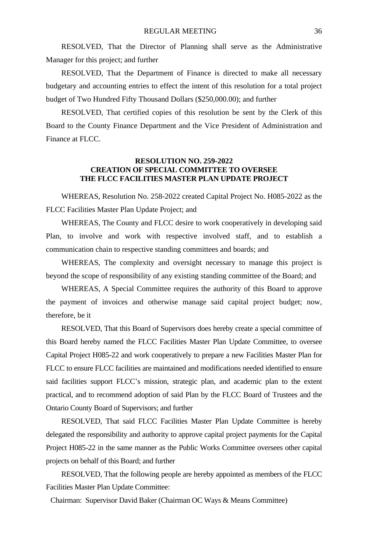RESOLVED, That the Director of Planning shall serve as the Administrative Manager for this project; and further

RESOLVED, That the Department of Finance is directed to make all necessary budgetary and accounting entries to effect the intent of this resolution for a total project budget of Two Hundred Fifty Thousand Dollars (\$250,000.00); and further

RESOLVED, That certified copies of this resolution be sent by the Clerk of this Board to the County Finance Department and the Vice President of Administration and Finance at FLCC.

## **RESOLUTION NO. 259-2022 CREATION OF SPECIAL COMMITTEE TO OVERSEE THE FLCC FACILITIES MASTER PLAN UPDATE PROJECT**

WHEREAS, Resolution No. 258-2022 created Capital Project No. H085-2022 as the FLCC Facilities Master Plan Update Project; and

WHEREAS, The County and FLCC desire to work cooperatively in developing said Plan, to involve and work with respective involved staff, and to establish a communication chain to respective standing committees and boards; and

WHEREAS, The complexity and oversight necessary to manage this project is beyond the scope of responsibility of any existing standing committee of the Board; and

WHEREAS, A Special Committee requires the authority of this Board to approve the payment of invoices and otherwise manage said capital project budget; now, therefore, be it

RESOLVED, That this Board of Supervisors does hereby create a special committee of this Board hereby named the FLCC Facilities Master Plan Update Committee, to oversee Capital Project H085-22 and work cooperatively to prepare a new Facilities Master Plan for FLCC to ensure FLCC facilities are maintained and modifications needed identified to ensure said facilities support FLCC's mission, strategic plan, and academic plan to the extent practical, and to recommend adoption of said Plan by the FLCC Board of Trustees and the Ontario County Board of Supervisors; and further

RESOLVED, That said FLCC Facilities Master Plan Update Committee is hereby delegated the responsibility and authority to approve capital project payments for the Capital Project H085-22 in the same manner as the Public Works Committee oversees other capital projects on behalf of this Board; and further

RESOLVED, That the following people are hereby appointed as members of the FLCC Facilities Master Plan Update Committee:

Chairman: Supervisor David Baker (Chairman OC Ways & Means Committee)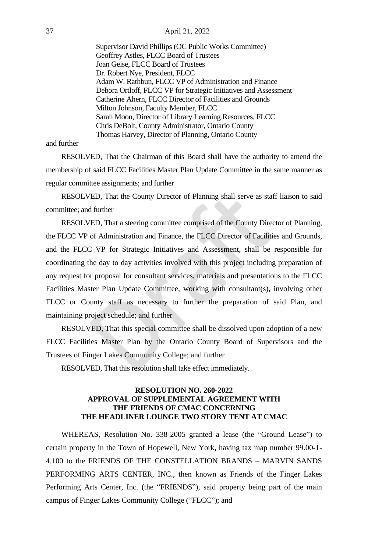#### 37 April 21, 2022

Supervisor David Phillips (OC Public Works Committee) Geoffrey Astles, FLCC Board of Trustees Joan Geise, FLCC Board of Trustees Dr. Robert Nye, President, FLCC Adam W. Rathbun, FLCC VP of Administration and Finance Debora Ortloff, FLCC VP for Strategic Initiatives and Assessment Catherine Ahern, FLCC Director of Facilities and Grounds Milton Johnson, Faculty Member, FLCC Sarah Moon, Director of Library Learning Resources, FLCC Chris DeBolt, County Administrator, Ontario County Thomas Harvey, Director of Planning, Ontario County

and further

RESOLVED, That the Chairman of this Board shall have the authority to amend the membership of said FLCC Facilities Master Plan Update Committee in the same manner as regular committee assignments; and further

RESOLVED, That the County Director of Planning shall serve as staff liaison to said committee; and further

RESOLVED, That a steering committee comprised of the County Director of Planning, the FLCC VP of Administration and Finance, the FLCC Director of Facilities and Grounds, and the FLCC VP for Strategic Initiatives and Assessment, shall be responsible for coordinating the day to day activities involved with this project including preparation of any request for proposal for consultant services, materials and presentations to the FLCC Facilities Master Plan Update Committee, working with consultant(s), involving other FLCC or County staff as necessary to further the preparation of said Plan, and maintaining project schedule; and further

RESOLVED, That this special committee shall be dissolved upon adoption of a new FLCC Facilities Master Plan by the Ontario County Board of Supervisors and the Trustees of Finger Lakes Community College; and further

RESOLVED, That this resolution shall take effect immediately.

#### **RESOLUTION NO. 260-2022 APPROVAL OF SUPPLEMENTAL AGREEMENT WITH THE FRIENDS OF CMAC CONCERNING THE HEADLINER LOUNGE TWO STORY TENT AT CMAC**

WHEREAS, Resolution No. 338-2005 granted a lease (the "Ground Lease") to certain property in the Town of Hopewell, New York, having tax map number 99.00-1- 4.100 to the FRIENDS OF THE CONSTELLATION BRANDS – MARVIN SANDS PERFORMING ARTS CENTER, INC., then known as Friends of the Finger Lakes Performing Arts Center, Inc. (the "FRIENDS"), said property being part of the main campus of Finger Lakes Community College ("FLCC"); and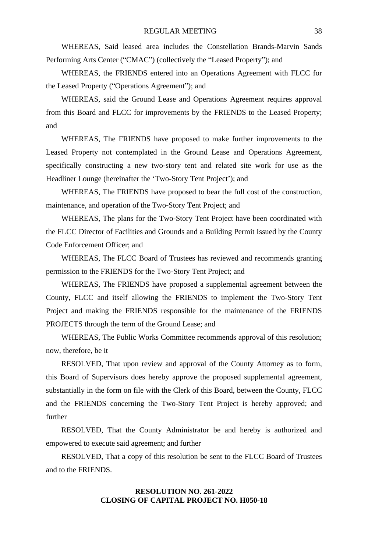WHEREAS, Said leased area includes the Constellation Brands-Marvin Sands Performing Arts Center ("CMAC") (collectively the "Leased Property"); and

WHEREAS, the FRIENDS entered into an Operations Agreement with FLCC for the Leased Property ("Operations Agreement"); and

WHEREAS, said the Ground Lease and Operations Agreement requires approval from this Board and FLCC for improvements by the FRIENDS to the Leased Property; and

WHEREAS, The FRIENDS have proposed to make further improvements to the Leased Property not contemplated in the Ground Lease and Operations Agreement, specifically constructing a new two-story tent and related site work for use as the Headliner Lounge (hereinafter the 'Two-Story Tent Project'); and

WHEREAS, The FRIENDS have proposed to bear the full cost of the construction, maintenance, and operation of the Two-Story Tent Project; and

WHEREAS, The plans for the Two-Story Tent Project have been coordinated with the FLCC Director of Facilities and Grounds and a Building Permit Issued by the County Code Enforcement Officer; and

WHEREAS, The FLCC Board of Trustees has reviewed and recommends granting permission to the FRIENDS for the Two-Story Tent Project; and

WHEREAS, The FRIENDS have proposed a supplemental agreement between the County, FLCC and itself allowing the FRIENDS to implement the Two-Story Tent Project and making the FRIENDS responsible for the maintenance of the FRIENDS PROJECTS through the term of the Ground Lease; and

WHEREAS, The Public Works Committee recommends approval of this resolution; now, therefore, be it

RESOLVED, That upon review and approval of the County Attorney as to form, this Board of Supervisors does hereby approve the proposed supplemental agreement, substantially in the form on file with the Clerk of this Board, between the County, FLCC and the FRIENDS concerning the Two-Story Tent Project is hereby approved; and further

RESOLVED, That the County Administrator be and hereby is authorized and empowered to execute said agreement; and further

RESOLVED, That a copy of this resolution be sent to the FLCC Board of Trustees and to the FRIENDS.

# **RESOLUTION NO. 261-2022 CLOSING OF CAPITAL PROJECT NO. H050-18**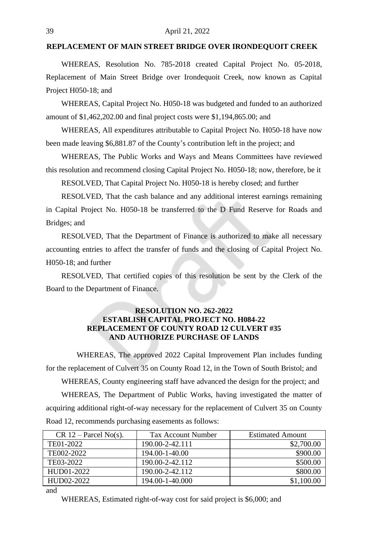### **REPLACEMENT OF MAIN STREET BRIDGE OVER IRONDEQUOIT CREEK**

WHEREAS, Resolution No. 785-2018 created Capital Project No. 05-2018, Replacement of Main Street Bridge over Irondequoit Creek, now known as Capital Project H050-18; and

WHEREAS, Capital Project No. H050-18 was budgeted and funded to an authorized amount of \$1,462,202.00 and final project costs were \$1,194,865.00; and

WHEREAS, All expenditures attributable to Capital Project No. H050-18 have now been made leaving \$6,881.87 of the County's contribution left in the project; and

WHEREAS, The Public Works and Ways and Means Committees have reviewed this resolution and recommend closing Capital Project No. H050-18; now, therefore, be it

RESOLVED, That Capital Project No. H050-18 is hereby closed; and further

RESOLVED, That the cash balance and any additional interest earnings remaining in Capital Project No. H050-18 be transferred to the D Fund Reserve for Roads and Bridges; and

RESOLVED, That the Department of Finance is authorized to make all necessary accounting entries to affect the transfer of funds and the closing of Capital Project No. H050-18; and further

RESOLVED, That certified copies of this resolution be sent by the Clerk of the Board to the Department of Finance.

# **RESOLUTION NO. 262-2022 ESTABLISH CAPITAL PROJECT NO. H084-22 REPLACEMENT OF COUNTY ROAD 12 CULVERT #35 AND AUTHORIZE PURCHASE OF LANDS**

WHEREAS, The approved 2022 Capital Improvement Plan includes funding for the replacement of Culvert 35 on County Road 12, in the Town of South Bristol; and

WHEREAS, County engineering staff have advanced the design for the project; and WHEREAS, The Department of Public Works, having investigated the matter of acquiring additional right-of-way necessary for the replacement of Culvert 35 on County Road 12, recommends purchasing easements as follows:

| $CR 12 - Parcel No(s)$ . | Tax Account Number | <b>Estimated Amount</b> |
|--------------------------|--------------------|-------------------------|
| TE01-2022                | 190.00-2-42.111    | \$2,700.00              |
| TE002-2022               | 194.00-1-40.00     | \$900.00                |
| TE03-2022                | 190.00-2-42.112    | \$500.00                |
| HUD01-2022               | 190.00-2-42.112    | \$800.00                |
| HUD02-2022               | 194.00-1-40.000    | \$1,100.00              |

and

WHEREAS, Estimated right-of-way cost for said project is \$6,000; and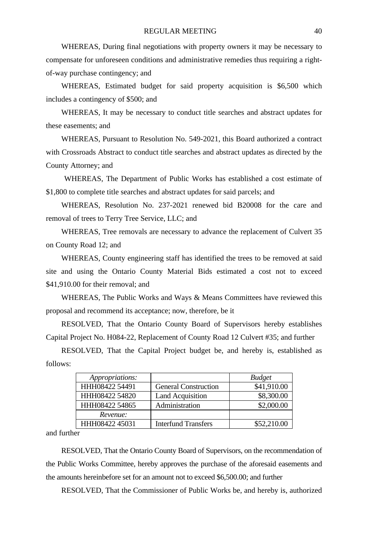WHEREAS, During final negotiations with property owners it may be necessary to compensate for unforeseen conditions and administrative remedies thus requiring a rightof-way purchase contingency; and

WHEREAS, Estimated budget for said property acquisition is \$6,500 which includes a contingency of \$500; and

WHEREAS, It may be necessary to conduct title searches and abstract updates for these easements; and

WHEREAS, Pursuant to Resolution No. 549-2021, this Board authorized a contract with Crossroads Abstract to conduct title searches and abstract updates as directed by the County Attorney; and

WHEREAS, The Department of Public Works has established a cost estimate of \$1,800 to complete title searches and abstract updates for said parcels; and

WHEREAS, Resolution No. 237-2021 renewed bid B20008 for the care and removal of trees to Terry Tree Service, LLC; and

WHEREAS, Tree removals are necessary to advance the replacement of Culvert 35 on County Road 12; and

WHEREAS, County engineering staff has identified the trees to be removed at said site and using the Ontario County Material Bids estimated a cost not to exceed \$41,910.00 for their removal; and

WHEREAS, The Public Works and Ways & Means Committees have reviewed this proposal and recommend its acceptance; now, therefore, be it

RESOLVED, That the Ontario County Board of Supervisors hereby establishes Capital Project No. H084-22, Replacement of County Road 12 Culvert #35; and further

RESOLVED, That the Capital Project budget be, and hereby is, established as follows:

| Appropriations: |                             | <b>Budget</b> |
|-----------------|-----------------------------|---------------|
| HHH08422 54491  | <b>General Construction</b> | \$41,910.00   |
| HHH08422 54820  | Land Acquisition            | \$8,300.00    |
| HHH08422 54865  | Administration              | \$2,000.00    |
| Revenue:        |                             |               |
| HHH08422 45031  | <b>Interfund Transfers</b>  | \$52,210.00   |

and further

RESOLVED, That the Ontario County Board of Supervisors, on the recommendation of the Public Works Committee, hereby approves the purchase of the aforesaid easements and the amounts hereinbefore set for an amount not to exceed \$6,500.00; and further

RESOLVED, That the Commissioner of Public Works be, and hereby is, authorized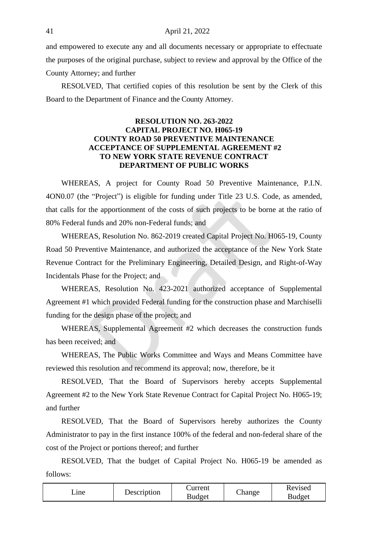and empowered to execute any and all documents necessary or appropriate to effectuate the purposes of the original purchase, subject to review and approval by the Office of the County Attorney; and further

RESOLVED, That certified copies of this resolution be sent by the Clerk of this Board to the Department of Finance and the County Attorney.

## **RESOLUTION NO. 263-2022 CAPITAL PROJECT NO. H065-19 COUNTY ROAD 50 PREVENTIVE MAINTENANCE ACCEPTANCE OF SUPPLEMENTAL AGREEMENT #2 TO NEW YORK STATE REVENUE CONTRACT DEPARTMENT OF PUBLIC WORKS**

WHEREAS, A project for County Road 50 Preventive Maintenance, P.I.N. 4ON0.07 (the "Project") is eligible for funding under Title 23 U.S. Code, as amended, that calls for the apportionment of the costs of such projects to be borne at the ratio of 80% Federal funds and 20% non-Federal funds; and

WHEREAS, Resolution No. 862-2019 created Capital Project No. H065-19, County Road 50 Preventive Maintenance, and authorized the acceptance of the New York State Revenue Contract for the Preliminary Engineering, Detailed Design, and Right-of-Way Incidentals Phase for the Project; and

WHEREAS, Resolution No. 423-2021 authorized acceptance of Supplemental Agreement #1 which provided Federal funding for the construction phase and Marchiselli funding for the design phase of the project; and

WHEREAS, Supplemental Agreement #2 which decreases the construction funds has been received; and

WHEREAS, The Public Works Committee and Ways and Means Committee have reviewed this resolution and recommend its approval; now, therefore, be it

RESOLVED, That the Board of Supervisors hereby accepts Supplemental Agreement #2 to the New York State Revenue Contract for Capital Project No. H065-19; and further

RESOLVED, That the Board of Supervisors hereby authorizes the County Administrator to pay in the first instance 100% of the federal and non-federal share of the cost of the Project or portions thereof; and further

RESOLVED, That the budget of Capital Project No. H065-19 be amended as follows:

| Description | Current | _hange | Revised |
|-------------|---------|--------|---------|
| _ıne        | Budget  |        | Budget  |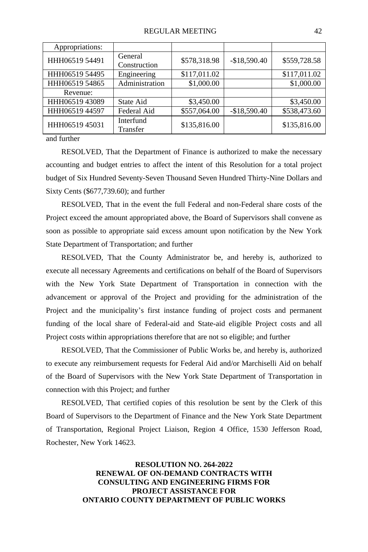| Appropriations: |                         |              |               |              |
|-----------------|-------------------------|--------------|---------------|--------------|
| HHH06519 54491  | General<br>Construction | \$578,318.98 | $-$18,590.40$ | \$559,728.58 |
| HHH06519 54495  | Engineering             | \$117,011.02 |               | \$117,011.02 |
| HHH06519 54865  | Administration          | \$1,000.00   |               | \$1,000.00   |
| Revenue:        |                         |              |               |              |
| HHH06519 43089  | State Aid               | \$3,450.00   |               | \$3,450.00   |
| HHH06519 44597  | Federal Aid             | \$557,064.00 | $-$18,590.40$ | \$538,473.60 |
| HHH06519 45031  | Interfund<br>Transfer   | \$135,816.00 |               | \$135,816.00 |

and further

RESOLVED, That the Department of Finance is authorized to make the necessary accounting and budget entries to affect the intent of this Resolution for a total project budget of Six Hundred Seventy-Seven Thousand Seven Hundred Thirty-Nine Dollars and Sixty Cents (\$677,739.60); and further

RESOLVED, That in the event the full Federal and non-Federal share costs of the Project exceed the amount appropriated above, the Board of Supervisors shall convene as soon as possible to appropriate said excess amount upon notification by the New York State Department of Transportation; and further

RESOLVED, That the County Administrator be, and hereby is, authorized to execute all necessary Agreements and certifications on behalf of the Board of Supervisors with the New York State Department of Transportation in connection with the advancement or approval of the Project and providing for the administration of the Project and the municipality's first instance funding of project costs and permanent funding of the local share of Federal-aid and State-aid eligible Project costs and all Project costs within appropriations therefore that are not so eligible; and further

RESOLVED, That the Commissioner of Public Works be, and hereby is, authorized to execute any reimbursement requests for Federal Aid and/or Marchiselli Aid on behalf of the Board of Supervisors with the New York State Department of Transportation in connection with this Project; and further

RESOLVED, That certified copies of this resolution be sent by the Clerk of this Board of Supervisors to the Department of Finance and the New York State Department of Transportation, Regional Project Liaison, Region 4 Office, 1530 Jefferson Road, Rochester, New York 14623.

> **RESOLUTION NO. 264-2022 RENEWAL OF ON-DEMAND CONTRACTS WITH CONSULTING AND ENGINEERING FIRMS FOR PROJECT ASSISTANCE FOR ONTARIO COUNTY DEPARTMENT OF PUBLIC WORKS**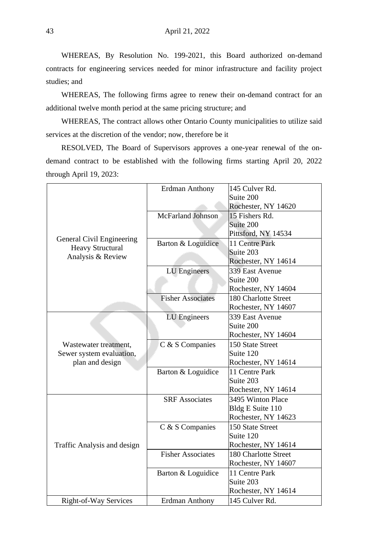WHEREAS, By Resolution No. 199-2021, this Board authorized on-demand contracts for engineering services needed for minor infrastructure and facility project studies; and

WHEREAS, The following firms agree to renew their on-demand contract for an additional twelve month period at the same pricing structure; and

WHEREAS, The contract allows other Ontario County municipalities to utilize said services at the discretion of the vendor; now, therefore be it

RESOLVED, The Board of Supervisors approves a one-year renewal of the ondemand contract to be established with the following firms starting April 20, 2022 through April 19, 2023:

|                             | Erdman Anthony           | 145 Culver Rd.       |
|-----------------------------|--------------------------|----------------------|
|                             |                          | Suite 200            |
|                             |                          | Rochester, NY 14620  |
|                             | McFarland Johnson        | 15 Fishers Rd.       |
|                             |                          | Suite 200            |
| General Civil Engineering   |                          | Pittsford, NY 14534  |
| <b>Heavy Structural</b>     | Barton & Loguidice       | 11 Centre Park       |
| Analysis & Review           |                          | Suite 203            |
|                             |                          | Rochester, NY 14614  |
|                             | LU Engineers             | 339 East Avenue      |
|                             |                          | Suite 200            |
|                             |                          | Rochester, NY 14604  |
|                             | <b>Fisher Associates</b> | 180 Charlotte Street |
|                             |                          | Rochester, NY 14607  |
|                             | <b>LU</b> Engineers      | 339 East Avenue      |
|                             |                          | Suite 200            |
|                             |                          | Rochester, NY 14604  |
| Wastewater treatment,       | C & S Companies          | 150 State Street     |
| Sewer system evaluation,    |                          | Suite 120            |
| plan and design             |                          | Rochester, NY 14614  |
|                             | Barton & Loguidice       | 11 Centre Park       |
|                             |                          | Suite 203            |
|                             |                          | Rochester, NY 14614  |
|                             | <b>SRF</b> Associates    | 3495 Winton Place    |
|                             |                          | Bldg E Suite 110     |
|                             |                          | Rochester, NY 14623  |
|                             | C & S Companies          | 150 State Street     |
|                             |                          | Suite 120            |
| Traffic Analysis and design |                          | Rochester, NY 14614  |
|                             | <b>Fisher Associates</b> | 180 Charlotte Street |
|                             |                          | Rochester, NY 14607  |
|                             | Barton & Loguidice       | 11 Centre Park       |
|                             |                          | Suite 203            |
|                             |                          | Rochester, NY 14614  |
| Right-of-Way Services       | <b>Erdman Anthony</b>    | 145 Culver Rd.       |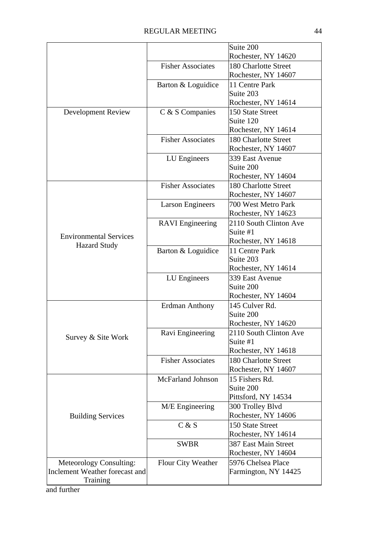|                                                      |                          | Suite 200                                   |
|------------------------------------------------------|--------------------------|---------------------------------------------|
|                                                      |                          | Rochester, NY 14620                         |
|                                                      | <b>Fisher Associates</b> | 180 Charlotte Street                        |
|                                                      |                          | Rochester, NY 14607                         |
|                                                      | Barton & Loguidice       | 11 Centre Park                              |
|                                                      |                          | Suite 203                                   |
|                                                      |                          | Rochester, NY 14614                         |
| Development Review                                   | C & S Companies          | 150 State Street                            |
|                                                      |                          | Suite 120                                   |
|                                                      |                          | Rochester, NY 14614                         |
|                                                      | <b>Fisher Associates</b> | 180 Charlotte Street                        |
|                                                      |                          | Rochester, NY 14607                         |
|                                                      | LU Engineers             | 339 East Avenue                             |
|                                                      |                          | Suite 200                                   |
|                                                      |                          | Rochester, NY 14604                         |
|                                                      | <b>Fisher Associates</b> | 180 Charlotte Street<br>Rochester, NY 14607 |
|                                                      |                          | 700 West Metro Park                         |
|                                                      | <b>Larson Engineers</b>  | Rochester, NY 14623                         |
|                                                      | <b>RAVI</b> Engineering  | 2110 South Clinton Ave                      |
|                                                      |                          | Suite #1                                    |
| <b>Environmental Services</b><br><b>Hazard Study</b> |                          | Rochester, NY 14618                         |
|                                                      | Barton & Loguidice       | 11 Centre Park                              |
|                                                      |                          | Suite 203                                   |
|                                                      |                          | Rochester, NY 14614                         |
|                                                      | LU Engineers             | 339 East Avenue                             |
|                                                      |                          | Suite 200                                   |
|                                                      |                          | Rochester, NY 14604                         |
|                                                      | <b>Erdman Anthony</b>    | 145 Culver Rd.                              |
|                                                      |                          | Suite 200                                   |
|                                                      |                          | Rochester, NY 14620                         |
| Survey & Site Work                                   | Ravi Engineering         | 2110 South Clinton Ave                      |
|                                                      |                          | Suite #1                                    |
|                                                      |                          | Rochester, NY 14618                         |
|                                                      | <b>Fisher Associates</b> | 180 Charlotte Street                        |
|                                                      |                          | Rochester, NY 14607<br>15 Fishers Rd.       |
|                                                      | McFarland Johnson        | Suite 200                                   |
|                                                      |                          | Pittsford, NY 14534                         |
|                                                      | M/E Engineering          | 300 Trolley Blvd                            |
| <b>Building Services</b>                             |                          | Rochester, NY 14606                         |
|                                                      | C & S                    | 150 State Street                            |
|                                                      |                          | Rochester, NY 14614                         |
|                                                      | <b>SWBR</b>              | 387 East Main Street                        |
|                                                      |                          | Rochester, NY 14604                         |
| Meteorology Consulting:                              | Flour City Weather       | 5976 Chelsea Place                          |
| Inclement Weather forecast and                       |                          | Farmington, NY 14425                        |
| Training                                             |                          |                                             |

and further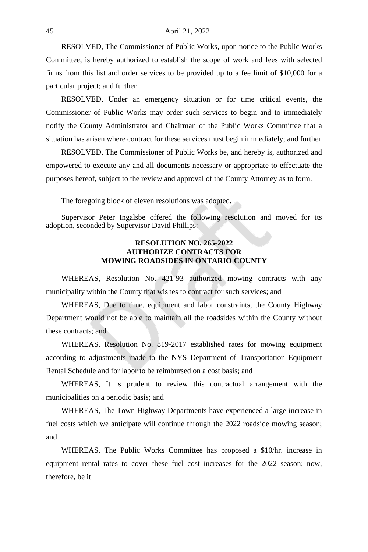RESOLVED, The Commissioner of Public Works, upon notice to the Public Works Committee, is hereby authorized to establish the scope of work and fees with selected firms from this list and order services to be provided up to a fee limit of \$10,000 for a particular project; and further

RESOLVED, Under an emergency situation or for time critical events, the Commissioner of Public Works may order such services to begin and to immediately notify the County Administrator and Chairman of the Public Works Committee that a situation has arisen where contract for these services must begin immediately; and further

RESOLVED, The Commissioner of Public Works be, and hereby is, authorized and empowered to execute any and all documents necessary or appropriate to effectuate the purposes hereof, subject to the review and approval of the County Attorney as to form.

The foregoing block of eleven resolutions was adopted.

Supervisor Peter Ingalsbe offered the following resolution and moved for its adoption, seconded by Supervisor David Phillips:

## **RESOLUTION NO. 265-2022 AUTHORIZE CONTRACTS FOR MOWING ROADSIDES IN ONTARIO COUNTY**

WHEREAS, Resolution No. 421-93 authorized mowing contracts with any municipality within the County that wishes to contract for such services; and

WHEREAS, Due to time, equipment and labor constraints, the County Highway Department would not be able to maintain all the roadsides within the County without these contracts; and

WHEREAS, Resolution No. 819-2017 established rates for mowing equipment according to adjustments made to the NYS Department of Transportation Equipment Rental Schedule and for labor to be reimbursed on a cost basis; and

WHEREAS, It is prudent to review this contractual arrangement with the municipalities on a periodic basis; and

WHEREAS, The Town Highway Departments have experienced a large increase in fuel costs which we anticipate will continue through the 2022 roadside mowing season; and

WHEREAS, The Public Works Committee has proposed a \$10/hr. increase in equipment rental rates to cover these fuel cost increases for the 2022 season; now, therefore, be it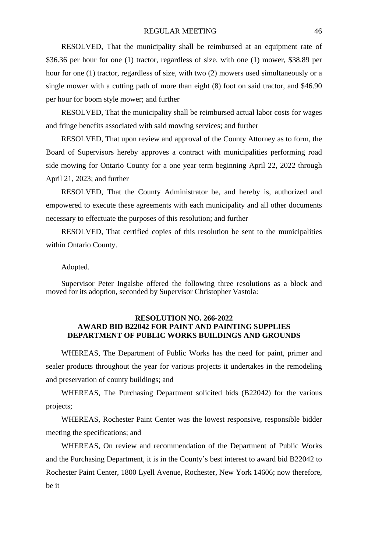RESOLVED, That the municipality shall be reimbursed at an equipment rate of \$36.36 per hour for one (1) tractor, regardless of size, with one (1) mower, \$38.89 per hour for one (1) tractor, regardless of size, with two (2) mowers used simultaneously or a single mower with a cutting path of more than eight (8) foot on said tractor, and \$46.90 per hour for boom style mower; and further

RESOLVED, That the municipality shall be reimbursed actual labor costs for wages and fringe benefits associated with said mowing services; and further

RESOLVED, That upon review and approval of the County Attorney as to form, the Board of Supervisors hereby approves a contract with municipalities performing road side mowing for Ontario County for a one year term beginning April 22, 2022 through April 21, 2023; and further

RESOLVED, That the County Administrator be, and hereby is, authorized and empowered to execute these agreements with each municipality and all other documents necessary to effectuate the purposes of this resolution; and further

RESOLVED, That certified copies of this resolution be sent to the municipalities within Ontario County.

#### Adopted.

Supervisor Peter Ingalsbe offered the following three resolutions as a block and moved for its adoption, seconded by Supervisor Christopher Vastola:

#### **RESOLUTION NO. 266-2022 AWARD BID B22042 FOR PAINT AND PAINTING SUPPLIES DEPARTMENT OF PUBLIC WORKS BUILDINGS AND GROUNDS**

WHEREAS, The Department of Public Works has the need for paint, primer and sealer products throughout the year for various projects it undertakes in the remodeling and preservation of county buildings; and

WHEREAS, The Purchasing Department solicited bids (B22042) for the various projects;

WHEREAS, Rochester Paint Center was the lowest responsive, responsible bidder meeting the specifications; and

WHEREAS, On review and recommendation of the Department of Public Works and the Purchasing Department, it is in the County's best interest to award bid B22042 to Rochester Paint Center, 1800 Lyell Avenue, Rochester, New York 14606; now therefore, be it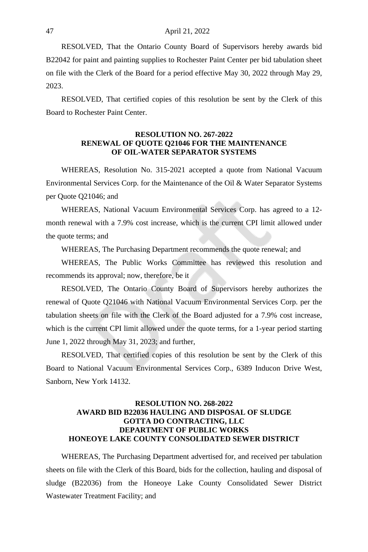RESOLVED, That the Ontario County Board of Supervisors hereby awards bid B22042 for paint and painting supplies to Rochester Paint Center per bid tabulation sheet on file with the Clerk of the Board for a period effective May 30, 2022 through May 29, 2023.

RESOLVED, That certified copies of this resolution be sent by the Clerk of this Board to Rochester Paint Center.

#### **RESOLUTION NO. 267-2022 RENEWAL OF QUOTE Q21046 FOR THE MAINTENANCE OF OIL-WATER SEPARATOR SYSTEMS**

WHEREAS, Resolution No. 315-2021 accepted a quote from National Vacuum Environmental Services Corp. for the Maintenance of the Oil & Water Separator Systems per Quote Q21046; and

WHEREAS, National Vacuum Environmental Services Corp. has agreed to a 12 month renewal with a 7.9% cost increase, which is the current CPI limit allowed under the quote terms; and

WHEREAS, The Purchasing Department recommends the quote renewal; and

WHEREAS, The Public Works Committee has reviewed this resolution and recommends its approval; now, therefore, be it

RESOLVED, The Ontario County Board of Supervisors hereby authorizes the renewal of Quote Q21046 with National Vacuum Environmental Services Corp. per the tabulation sheets on file with the Clerk of the Board adjusted for a 7.9% cost increase, which is the current CPI limit allowed under the quote terms, for a 1-year period starting June 1, 2022 through May 31, 2023; and further,

RESOLVED, That certified copies of this resolution be sent by the Clerk of this Board to National Vacuum Environmental Services Corp., 6389 Inducon Drive West, Sanborn, New York 14132.

# **RESOLUTION NO. 268-2022 AWARD BID B22036 HAULING AND DISPOSAL OF SLUDGE GOTTA DO CONTRACTING, LLC DEPARTMENT OF PUBLIC WORKS HONEOYE LAKE COUNTY CONSOLIDATED SEWER DISTRICT**

WHEREAS, The Purchasing Department advertised for, and received per tabulation sheets on file with the Clerk of this Board, bids for the collection, hauling and disposal of sludge (B22036) from the Honeoye Lake County Consolidated Sewer District Wastewater Treatment Facility; and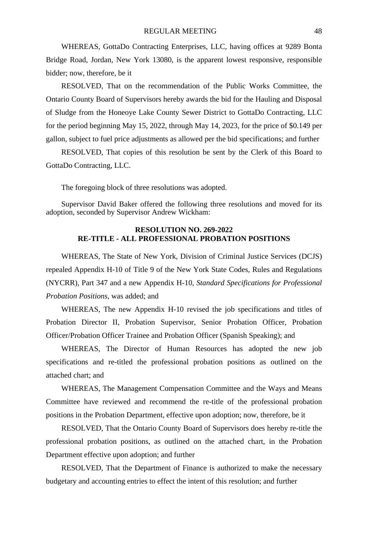WHEREAS, GottaDo Contracting Enterprises, LLC, having offices at 9289 Bonta Bridge Road, Jordan, New York 13080, is the apparent lowest responsive, responsible bidder; now, therefore, be it

RESOLVED, That on the recommendation of the Public Works Committee, the Ontario County Board of Supervisors hereby awards the bid for the Hauling and Disposal of Sludge from the Honeoye Lake County Sewer District to GottaDo Contracting, LLC for the period beginning May 15, 2022, through May 14, 2023, for the price of \$0.149 per gallon, subject to fuel price adjustments as allowed per the bid specifications; and further

RESOLVED, That copies of this resolution be sent by the Clerk of this Board to GottaDo Contracting, LLC.

The foregoing block of three resolutions was adopted.

Supervisor David Baker offered the following three resolutions and moved for its adoption, seconded by Supervisor Andrew Wickham:

# **RESOLUTION NO. 269-2022 RE-TITLE - ALL PROFESSIONAL PROBATION POSITIONS**

WHEREAS, The State of New York, Division of Criminal Justice Services (DCJS) repealed Appendix H-10 of Title 9 of the New York State Codes, Rules and Regulations (NYCRR), Part 347 and a new Appendix H-10, *Standard Specifications for Professional Probation Positions*, was added; and

WHEREAS, The new Appendix H-10 revised the job specifications and titles of Probation Director II, Probation Supervisor, Senior Probation Officer, Probation Officer/Probation Officer Trainee and Probation Officer (Spanish Speaking); and

WHEREAS, The Director of Human Resources has adopted the new job specifications and re-titled the professional probation positions as outlined on the attached chart; and

WHEREAS, The Management Compensation Committee and the Ways and Means Committee have reviewed and recommend the re-title of the professional probation positions in the Probation Department, effective upon adoption; now, therefore, be it

RESOLVED, That the Ontario County Board of Supervisors does hereby re-title the professional probation positions, as outlined on the attached chart, in the Probation Department effective upon adoption; and further

RESOLVED, That the Department of Finance is authorized to make the necessary budgetary and accounting entries to effect the intent of this resolution; and further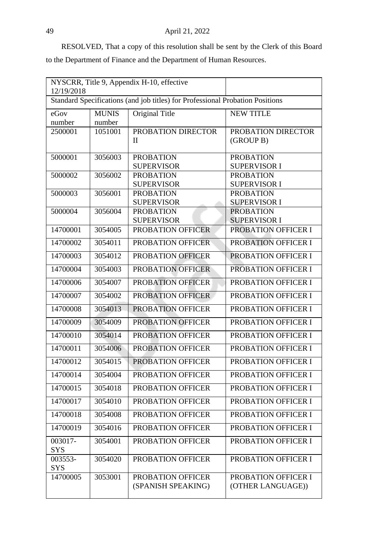RESOLVED, That a copy of this resolution shall be sent by the Clerk of this Board to the Department of Finance and the Department of Human Resources.

| NYSCRR, Title 9, Appendix H-10, effective<br>12/19/2018                       |                        |                                         |                                          |
|-------------------------------------------------------------------------------|------------------------|-----------------------------------------|------------------------------------------|
| Standard Specifications (and job titles) for Professional Probation Positions |                        |                                         |                                          |
| eGov<br>number                                                                | <b>MUNIS</b><br>number | Original Title                          | <b>NEW TITLE</b>                         |
| 2500001                                                                       | 1051001                | PROBATION DIRECTOR<br>Н                 | PROBATION DIRECTOR<br>(GROUP B)          |
| 5000001                                                                       | 3056003                | <b>PROBATION</b><br><b>SUPERVISOR</b>   | <b>PROBATION</b><br><b>SUPERVISOR I</b>  |
| 5000002                                                                       | 3056002                | <b>PROBATION</b><br><b>SUPERVISOR</b>   | <b>PROBATION</b><br><b>SUPERVISOR I</b>  |
| 5000003                                                                       | 3056001                | <b>PROBATION</b><br><b>SUPERVISOR</b>   | <b>PROBATION</b><br><b>SUPERVISOR I</b>  |
| 5000004                                                                       | 3056004                | <b>PROBATION</b><br><b>SUPERVISOR</b>   | <b>PROBATION</b><br><b>SUPERVISOR I</b>  |
| 14700001                                                                      | 3054005                | PROBATION OFFICER                       | PROBATION OFFICER I                      |
| 14700002                                                                      | 3054011                | PROBATION OFFICER                       | PROBATION OFFICER I                      |
| 14700003                                                                      | 3054012                | PROBATION OFFICER                       | PROBATION OFFICER I                      |
| 14700004                                                                      | 3054003                | PROBATION OFFICER                       | <b>PROBATION OFFICER I</b>               |
| 14700006                                                                      | 3054007                | PROBATION OFFICER                       | PROBATION OFFICER I                      |
| 14700007                                                                      | 3054002                | PROBATION OFFICER                       | PROBATION OFFICER I                      |
| 14700008                                                                      | 3054013                | PROBATION OFFICER                       | PROBATION OFFICER I                      |
| 14700009                                                                      | 3054009                | PROBATION OFFICER                       | PROBATION OFFICER I                      |
| 14700010                                                                      | 3054014                | PROBATION OFFICER                       | PROBATION OFFICER I                      |
| 14700011                                                                      | 3054006                | PROBATION OFFICER                       | PROBATION OFFICER I                      |
| 14700012                                                                      | 3054015                | PROBATION OFFICER                       | PROBATION OFFICER I                      |
| 14700014                                                                      | 3054004                | PROBATION OFFICER                       | PROBATION OFFICER I                      |
| 14700015                                                                      | 3054018                | PROBATION OFFICER                       | PROBATION OFFICER I                      |
| 14700017                                                                      | 3054010                | PROBATION OFFICER                       | PROBATION OFFICER I                      |
| 14700018                                                                      | 3054008                | <b>PROBATION OFFICER</b>                | <b>PROBATION OFFICER I</b>               |
| 14700019                                                                      | 3054016                | PROBATION OFFICER                       | PROBATION OFFICER I                      |
| 003017-<br><b>SYS</b>                                                         | 3054001                | PROBATION OFFICER                       | PROBATION OFFICER I                      |
| 003553-<br>SYS                                                                | 3054020                | PROBATION OFFICER                       | PROBATION OFFICER I                      |
| 14700005                                                                      | 3053001                | PROBATION OFFICER<br>(SPANISH SPEAKING) | PROBATION OFFICER I<br>(OTHER LANGUAGE)) |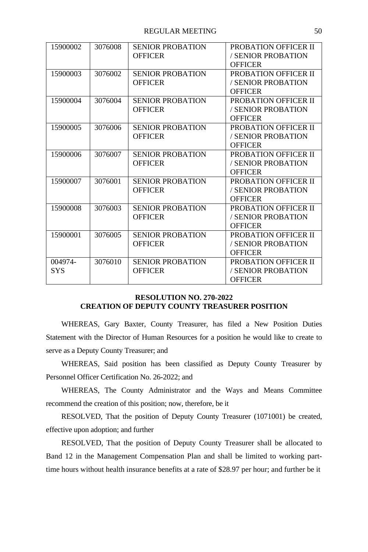| 15900002   | 3076008 | <b>SENIOR PROBATION</b> | PROBATION OFFICER II |
|------------|---------|-------------------------|----------------------|
|            |         | <b>OFFICER</b>          | / SENIOR PROBATION   |
|            |         |                         | <b>OFFICER</b>       |
| 15900003   | 3076002 | <b>SENIOR PROBATION</b> | PROBATION OFFICER II |
|            |         | <b>OFFICER</b>          | / SENIOR PROBATION   |
|            |         |                         | <b>OFFICER</b>       |
| 15900004   | 3076004 | <b>SENIOR PROBATION</b> | PROBATION OFFICER II |
|            |         | <b>OFFICER</b>          | / SENIOR PROBATION   |
|            |         |                         | <b>OFFICER</b>       |
| 15900005   | 3076006 | <b>SENIOR PROBATION</b> | PROBATION OFFICER II |
|            |         | <b>OFFICER</b>          | / SENIOR PROBATION   |
|            |         |                         | <b>OFFICER</b>       |
| 15900006   | 3076007 | <b>SENIOR PROBATION</b> | PROBATION OFFICER II |
|            |         | <b>OFFICER</b>          | / SENIOR PROBATION   |
|            |         |                         | <b>OFFICER</b>       |
| 15900007   | 3076001 | <b>SENIOR PROBATION</b> | PROBATION OFFICER II |
|            |         | <b>OFFICER</b>          | / SENIOR PROBATION   |
|            |         |                         | <b>OFFICER</b>       |
| 15900008   | 3076003 | <b>SENIOR PROBATION</b> | PROBATION OFFICER II |
|            |         | <b>OFFICER</b>          | / SENIOR PROBATION   |
|            |         |                         | <b>OFFICER</b>       |
| 15900001   | 3076005 | <b>SENIOR PROBATION</b> | PROBATION OFFICER II |
|            |         | <b>OFFICER</b>          | / SENIOR PROBATION   |
|            |         |                         | <b>OFFICER</b>       |
| 004974-    | 3076010 | <b>SENIOR PROBATION</b> | PROBATION OFFICER II |
| <b>SYS</b> |         | <b>OFFICER</b>          | / SENIOR PROBATION   |
|            |         |                         | <b>OFFICER</b>       |

# **RESOLUTION NO. 270-2022 CREATION OF DEPUTY COUNTY TREASURER POSITION**

WHEREAS, Gary Baxter, County Treasurer, has filed a New Position Duties Statement with the Director of Human Resources for a position he would like to create to serve as a Deputy County Treasurer; and

WHEREAS, Said position has been classified as Deputy County Treasurer by Personnel Officer Certification No. 26-2022; and

WHEREAS, The County Administrator and the Ways and Means Committee recommend the creation of this position; now, therefore, be it

RESOLVED, That the position of Deputy County Treasurer (1071001) be created, effective upon adoption; and further

RESOLVED, That the position of Deputy County Treasurer shall be allocated to Band 12 in the Management Compensation Plan and shall be limited to working parttime hours without health insurance benefits at a rate of \$28.97 per hour; and further be it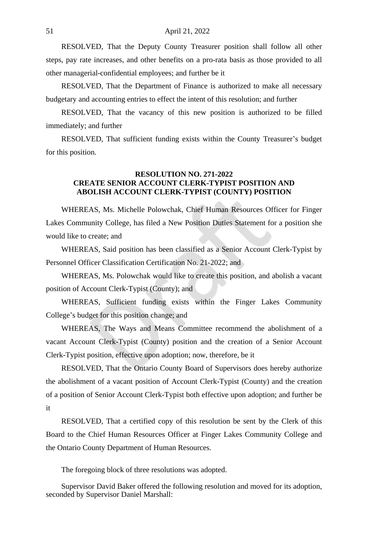RESOLVED, That the Deputy County Treasurer position shall follow all other steps, pay rate increases, and other benefits on a pro-rata basis as those provided to all other managerial-confidential employees; and further be it

RESOLVED, That the Department of Finance is authorized to make all necessary budgetary and accounting entries to effect the intent of this resolution; and further

RESOLVED, That the vacancy of this new position is authorized to be filled immediately; and further

RESOLVED, That sufficient funding exists within the County Treasurer's budget for this position.

### **RESOLUTION NO. 271-2022 CREATE SENIOR ACCOUNT CLERK-TYPIST POSITION AND ABOLISH ACCOUNT CLERK-TYPIST (COUNTY) POSITION**

WHEREAS, Ms. Michelle Polowchak, Chief Human Resources Officer for Finger Lakes Community College, has filed a New Position Duties Statement for a position she would like to create; and

WHEREAS, Said position has been classified as a Senior Account Clerk-Typist by Personnel Officer Classification Certification No. 21-2022; and

WHEREAS, Ms. Polowchak would like to create this position, and abolish a vacant position of Account Clerk-Typist (County); and

WHEREAS, Sufficient funding exists within the Finger Lakes Community College's budget for this position change; and

WHEREAS, The Ways and Means Committee recommend the abolishment of a vacant Account Clerk-Typist (County) position and the creation of a Senior Account Clerk-Typist position, effective upon adoption; now, therefore, be it

RESOLVED, That the Ontario County Board of Supervisors does hereby authorize the abolishment of a vacant position of Account Clerk-Typist (County) and the creation of a position of Senior Account Clerk-Typist both effective upon adoption; and further be it

RESOLVED, That a certified copy of this resolution be sent by the Clerk of this Board to the Chief Human Resources Officer at Finger Lakes Community College and the Ontario County Department of Human Resources.

The foregoing block of three resolutions was adopted.

Supervisor David Baker offered the following resolution and moved for its adoption, seconded by Supervisor Daniel Marshall: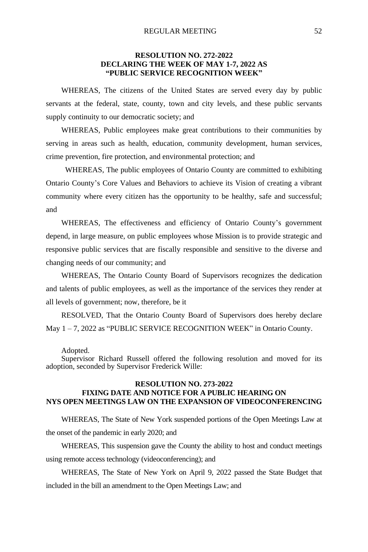# **RESOLUTION NO. 272-2022 DECLARING THE WEEK OF MAY 1-7, 2022 AS "PUBLIC SERVICE RECOGNITION WEEK"**

WHEREAS, The citizens of the United States are served every day by public servants at the federal, state, county, town and city levels, and these public servants supply continuity to our democratic society; and

WHEREAS, Public employees make great contributions to their communities by serving in areas such as health, education, community development, human services, crime prevention, fire protection, and environmental protection; and

WHEREAS, The public employees of Ontario County are committed to exhibiting Ontario County's Core Values and Behaviors to achieve its Vision of creating a vibrant community where every citizen has the opportunity to be healthy, safe and successful; and

WHEREAS, The effectiveness and efficiency of Ontario County's government depend, in large measure, on public employees whose Mission is to provide strategic and responsive public services that are fiscally responsible and sensitive to the diverse and changing needs of our community; and

WHEREAS, The Ontario County Board of Supervisors recognizes the dedication and talents of public employees, as well as the importance of the services they render at all levels of government; now, therefore, be it

RESOLVED, That the Ontario County Board of Supervisors does hereby declare May 1 – 7, 2022 as "PUBLIC SERVICE RECOGNITION WEEK" in Ontario County.

Adopted.

Supervisor Richard Russell offered the following resolution and moved for its adoption, seconded by Supervisor Frederick Wille:

#### **RESOLUTION NO. 273-2022 FIXING DATE AND NOTICE FOR A PUBLIC HEARING ON NYS OPEN MEETINGS LAW ON THE EXPANSION OF VIDEOCONFERENCING**

WHEREAS, The State of New York suspended portions of the Open Meetings Law at the onset of the pandemic in early 2020; and

WHEREAS, This suspension gave the County the ability to host and conduct meetings using remote access technology (videoconferencing); and

WHEREAS, The State of New York on April 9, 2022 passed the State Budget that included in the bill an amendment to the Open Meetings Law; and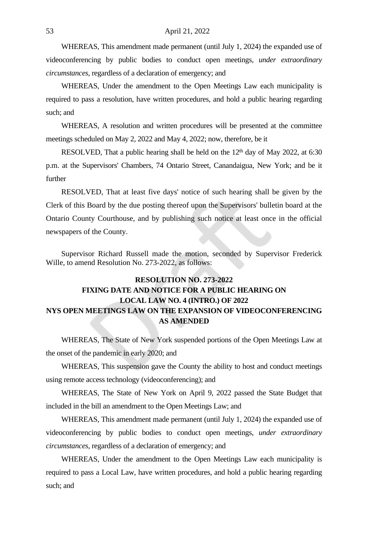WHEREAS, This amendment made permanent (until July 1, 2024) the expanded use of videoconferencing by public bodies to conduct open meetings, *under extraordinary circumstances*, regardless of a declaration of emergency; and

WHEREAS, Under the amendment to the Open Meetings Law each municipality is required to pass a resolution, have written procedures, and hold a public hearing regarding such; and

WHEREAS, A resolution and written procedures will be presented at the committee meetings scheduled on May 2, 2022 and May 4, 2022; now, therefore, be it

RESOLVED, That a public hearing shall be held on the 12<sup>th</sup> day of May 2022, at 6:30 p.m. at the Supervisors' Chambers, 74 Ontario Street, Canandaigua, New York; and be it further

RESOLVED, That at least five days' notice of such hearing shall be given by the Clerk of this Board by the due posting thereof upon the Supervisors' bulletin board at the Ontario County Courthouse, and by publishing such notice at least once in the official newspapers of the County.

Supervisor Richard Russell made the motion, seconded by Supervisor Frederick Wille, to amend Resolution No. 273-2022, as follows:

# **RESOLUTION NO. 273-2022 FIXING DATE AND NOTICE FOR A PUBLIC HEARING ON LOCAL LAW NO. 4 (INTRO.) OF 2022 NYS OPEN MEETINGS LAW ON THE EXPANSION OF VIDEOCONFERENCING AS AMENDED**

WHEREAS, The State of New York suspended portions of the Open Meetings Law at the onset of the pandemic in early 2020; and

WHEREAS, This suspension gave the County the ability to host and conduct meetings using remote access technology (videoconferencing); and

WHEREAS, The State of New York on April 9, 2022 passed the State Budget that included in the bill an amendment to the Open Meetings Law; and

WHEREAS, This amendment made permanent (until July 1, 2024) the expanded use of videoconferencing by public bodies to conduct open meetings, *under extraordinary circumstances*, regardless of a declaration of emergency; and

WHEREAS, Under the amendment to the Open Meetings Law each municipality is required to pass a Local Law, have written procedures, and hold a public hearing regarding such; and